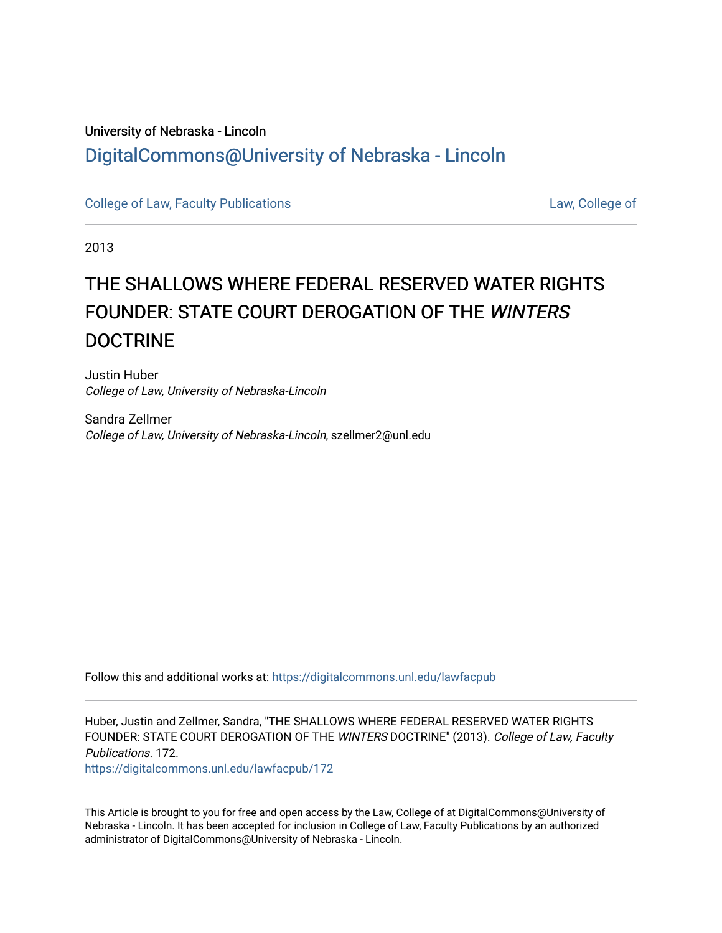# University of Nebraska - Lincoln [DigitalCommons@University of Nebraska - Lincoln](https://digitalcommons.unl.edu/)

[College of Law, Faculty Publications](https://digitalcommons.unl.edu/lawfacpub) **[Law, College of](https://digitalcommons.unl.edu/law) Law, College of** Law, College of

2013

# THE SHALLOWS WHERE FEDERAL RESERVED WATER RIGHTS FOUNDER: STATE COURT DEROGATION OF THE WINTERS DOCTRINE

Justin Huber College of Law, University of Nebraska-Lincoln

Sandra Zellmer College of Law, University of Nebraska-Lincoln, szellmer2@unl.edu

Follow this and additional works at: [https://digitalcommons.unl.edu/lawfacpub](https://digitalcommons.unl.edu/lawfacpub?utm_source=digitalcommons.unl.edu%2Flawfacpub%2F172&utm_medium=PDF&utm_campaign=PDFCoverPages) 

Huber, Justin and Zellmer, Sandra, "THE SHALLOWS WHERE FEDERAL RESERVED WATER RIGHTS FOUNDER: STATE COURT DEROGATION OF THE WINTERS DOCTRINE" (2013). College of Law, Faculty Publications. 172.

[https://digitalcommons.unl.edu/lawfacpub/172](https://digitalcommons.unl.edu/lawfacpub/172?utm_source=digitalcommons.unl.edu%2Flawfacpub%2F172&utm_medium=PDF&utm_campaign=PDFCoverPages) 

This Article is brought to you for free and open access by the Law, College of at DigitalCommons@University of Nebraska - Lincoln. It has been accepted for inclusion in College of Law, Faculty Publications by an authorized administrator of DigitalCommons@University of Nebraska - Lincoln.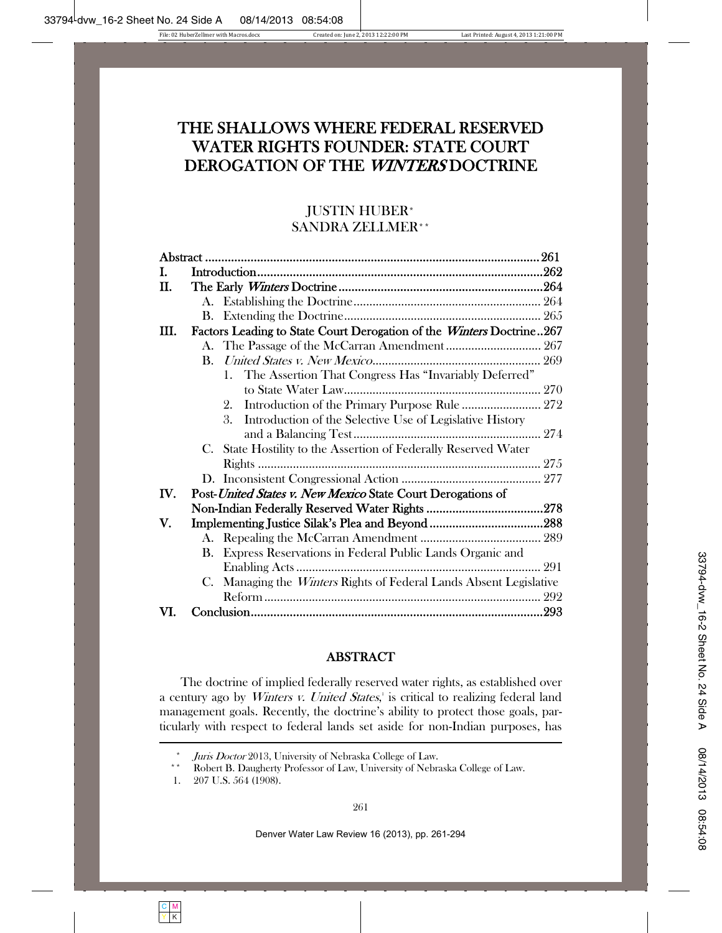# THE SHALLOWS WHERE FEDERAL RESERVED WATER RIGHTS FOUNDER: STATE COURT DEROGATION OF THE WINTERS DOCTRINE

# JUSTIN HUBER\* SANDRA ZELLMER\*\*

| I.   |                                                                      |                                                                        |     |
|------|----------------------------------------------------------------------|------------------------------------------------------------------------|-----|
| H.   |                                                                      |                                                                        |     |
|      |                                                                      |                                                                        |     |
|      |                                                                      |                                                                        |     |
| III. | Factors Leading to State Court Derogation of the Winters Doctrine267 |                                                                        |     |
|      |                                                                      |                                                                        |     |
|      |                                                                      |                                                                        |     |
|      |                                                                      | 1. The Assertion That Congress Has "Invariably Deferred"               |     |
|      |                                                                      |                                                                        |     |
|      |                                                                      | Introduction of the Primary Purpose Rule  272<br>2.                    |     |
|      |                                                                      | 3.<br>Introduction of the Selective Use of Legislative History         |     |
|      |                                                                      |                                                                        |     |
|      |                                                                      | C. State Hostility to the Assertion of Federally Reserved Water        |     |
|      |                                                                      |                                                                        |     |
|      |                                                                      |                                                                        |     |
| IV.  |                                                                      | Post-United States v. New Mexico State Court Derogations of            |     |
|      |                                                                      |                                                                        |     |
| V.   |                                                                      |                                                                        |     |
|      |                                                                      |                                                                        |     |
|      | B.                                                                   | Express Reservations in Federal Public Lands Organic and               |     |
|      |                                                                      |                                                                        | 291 |
|      | C.                                                                   | Managing the <i>Winters</i> Rights of Federal Lands Absent Legislative |     |
|      |                                                                      |                                                                        |     |
| VI.  |                                                                      |                                                                        |     |

# ABSTRACT

The doctrine of implied federally reserved water rights, as established over a century ago by *Winters v. United States*, is critical to realizing federal land management goals. Recently, the doctrine's ability to protect those goals, particularly with respect to federal lands set aside for non-Indian purposes, has

<sup>\*</sup> Juris Doctor 2013, University of Nebraska College of Law.<br>\*\* Robert B. Daugherty Professor of Law. University of M. L.

<sup>\*\*</sup> Robert B. Daugherty Professor of Law, University of Nebraska College of Law.

 <sup>1. 207</sup> U.S. 564 (1908).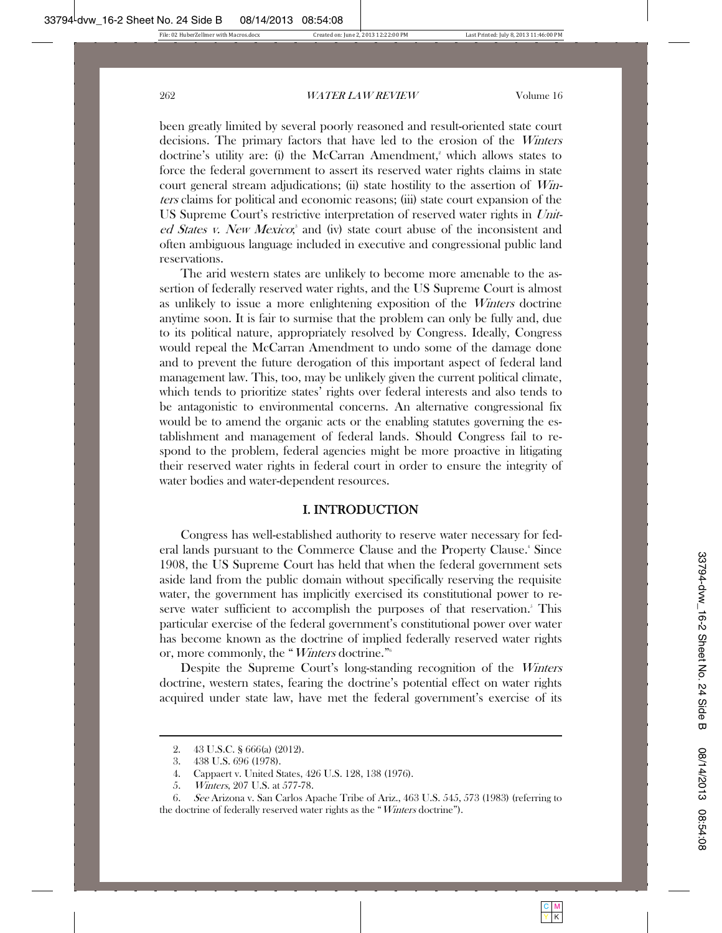been greatly limited by several poorly reasoned and result-oriented state court decisions. The primary factors that have led to the erosion of the Winters doctrine's utility are: (i) the McCarran Amendment,<sup>2</sup> which allows states to force the federal government to assert its reserved water rights claims in state court general stream adjudications; (ii) state hostility to the assertion of Winters claims for political and economic reasons; (iii) state court expansion of the US Supreme Court's restrictive interpretation of reserved water rights in United States v. New Mexico;<sup>3</sup> and (iv) state court abuse of the inconsistent and often ambiguous language included in executive and congressional public land reservations.

The arid western states are unlikely to become more amenable to the assertion of federally reserved water rights, and the US Supreme Court is almost as unlikely to issue a more enlightening exposition of the Winters doctrine anytime soon. It is fair to surmise that the problem can only be fully and, due to its political nature, appropriately resolved by Congress. Ideally, Congress would repeal the McCarran Amendment to undo some of the damage done and to prevent the future derogation of this important aspect of federal land management law. This, too, may be unlikely given the current political climate, which tends to prioritize states' rights over federal interests and also tends to be antagonistic to environmental concerns. An alternative congressional fix would be to amend the organic acts or the enabling statutes governing the establishment and management of federal lands. Should Congress fail to respond to the problem, federal agencies might be more proactive in litigating their reserved water rights in federal court in order to ensure the integrity of water bodies and water-dependent resources.

#### I. INTRODUCTION

Congress has well-established authority to reserve water necessary for federal lands pursuant to the Commerce Clause and the Property Clause.<sup>4</sup> Since 1908, the US Supreme Court has held that when the federal government sets aside land from the public domain without specifically reserving the requisite water, the government has implicitly exercised its constitutional power to reserve water sufficient to accomplish the purposes of that reservation.<sup>5</sup> This particular exercise of the federal government's constitutional power over water has become known as the doctrine of implied federally reserved water rights or, more commonly, the "Winters doctrine."6

Despite the Supreme Court's long-standing recognition of the Winters doctrine, western states, fearing the doctrine's potential effect on water rights acquired under state law, have met the federal government's exercise of its

 <sup>2. 43</sup> U.S.C. § 666(a) (2012).

 <sup>3. 438</sup> U.S. 696 (1978).

 <sup>4.</sup> Cappaert v. United States, 426 U.S. 128, 138 (1976).

 <sup>5.</sup> Winters, 207 U.S. at 577-78.

 <sup>6.</sup> See Arizona v. San Carlos Apache Tribe of Ariz., 463 U.S. 545, 573 (1983) (referring to the doctrine of federally reserved water rights as the "*Winters* doctrine").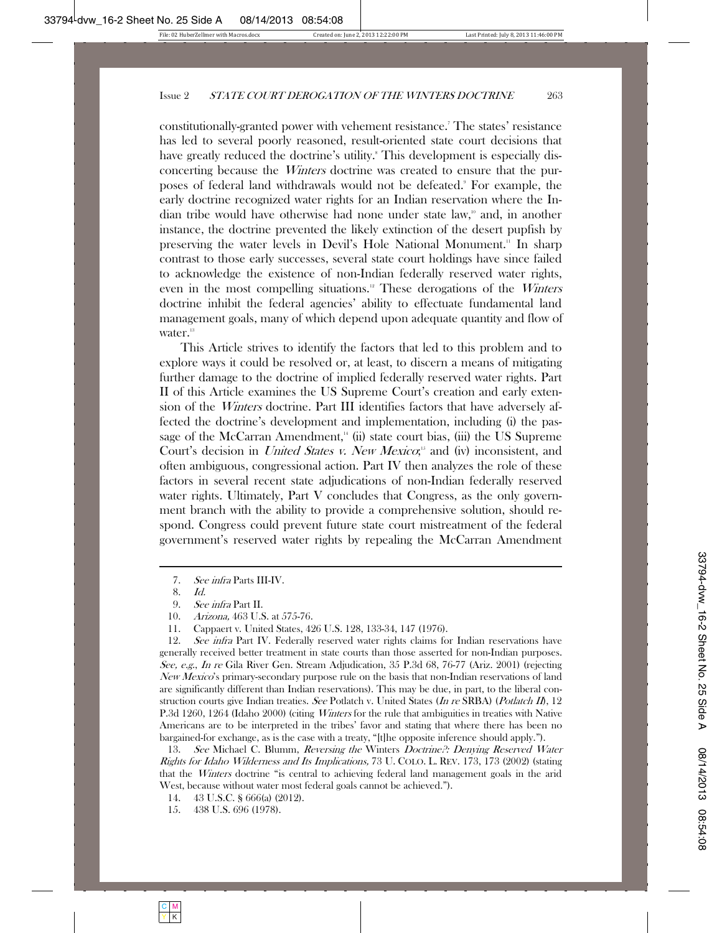constitutionally-granted power with vehement resistance.' The states' resistance has led to several poorly reasoned, result-oriented state court decisions that have greatly reduced the doctrine's utility.<sup>8</sup> This development is especially disconcerting because the Winters doctrine was created to ensure that the purposes of federal land withdrawals would not be defeated.<sup>9</sup> For example, the early doctrine recognized water rights for an Indian reservation where the Indian tribe would have otherwise had none under state law,<sup>10</sup> and, in another instance, the doctrine prevented the likely extinction of the desert pupfish by preserving the water levels in Devil's Hole National Monument.<sup>11</sup> In sharp contrast to those early successes, several state court holdings have since failed to acknowledge the existence of non-Indian federally reserved water rights, even in the most compelling situations.<sup>12</sup> These derogations of the *Winters* doctrine inhibit the federal agencies' ability to effectuate fundamental land management goals, many of which depend upon adequate quantity and flow of water.<sup>13</sup>

This Article strives to identify the factors that led to this problem and to explore ways it could be resolved or, at least, to discern a means of mitigating further damage to the doctrine of implied federally reserved water rights. Part II of this Article examines the US Supreme Court's creation and early extension of the Winters doctrine. Part III identifies factors that have adversely affected the doctrine's development and implementation, including (i) the passage of the McCarran Amendment, $\cdot$  (ii) state court bias, (iii) the US Supreme Court's decision in *United States v. New Mexico*;<sup>55</sup> and (iv) inconsistent, and often ambiguous, congressional action. Part IV then analyzes the role of these factors in several recent state adjudications of non-Indian federally reserved water rights. Ultimately, Part V concludes that Congress, as the only government branch with the ability to provide a comprehensive solution, should respond. Congress could prevent future state court mistreatment of the federal government's reserved water rights by repealing the McCarran Amendment

 <sup>7.</sup> See infra Parts III-IV.

 <sup>8.</sup> Id.

 <sup>9.</sup> See infra Part II.

 <sup>10.</sup> Arizona, 463 U.S. at 575-76.

 <sup>11.</sup> Cappaert v. United States, 426 U.S. 128, 133-34, 147 (1976).

<sup>12.</sup> See infra Part IV. Federally reserved water rights claims for Indian reservations have generally received better treatment in state courts than those asserted for non-Indian purposes. See, e.g., In re Gila River Gen. Stream Adjudication, 35 P.3d 68, 76-77 (Ariz. 2001) (rejecting New Mexico's primary-secondary purpose rule on the basis that non-Indian reservations of land are significantly different than Indian reservations). This may be due, in part, to the liberal construction courts give Indian treaties. See Potlatch v. United States (In re SRBA) (Potlatch II), 12 P.3d 1260, 1264 (Idaho 2000) (citing *Winters* for the rule that ambiguities in treaties with Native Americans are to be interpreted in the tribes' favor and stating that where there has been no bargained-for exchange, as is the case with a treaty, "[t]he opposite inference should apply.").

<sup>13.</sup> See Michael C. Blumm, Reversing the Winters Doctrine?: Denying Reserved Water Rights for Idaho Wilderness and Its Implications, 73 U. COLO. L. REV. 173, 173 (2002) (stating that the Winters doctrine "is central to achieving federal land management goals in the arid West, because without water most federal goals cannot be achieved.").

 <sup>14. 43</sup> U.S.C. § 666(a) (2012).

 <sup>15. 438</sup> U.S. 696 (1978).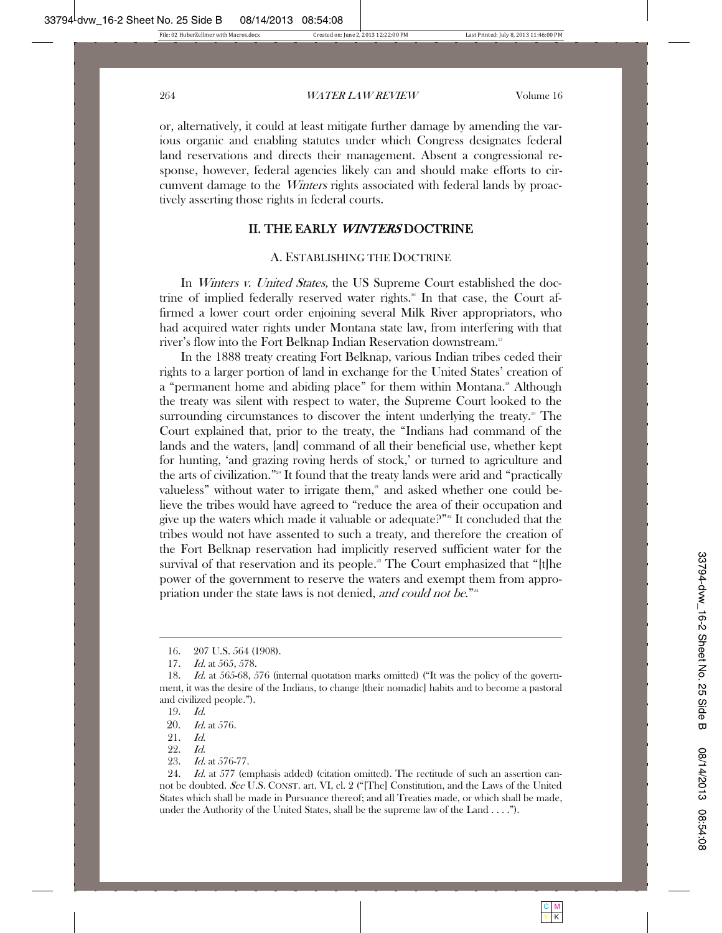or, alternatively, it could at least mitigate further damage by amending the various organic and enabling statutes under which Congress designates federal land reservations and directs their management. Absent a congressional response, however, federal agencies likely can and should make efforts to circumvent damage to the *Winters* rights associated with federal lands by proactively asserting those rights in federal courts.

# II. THE EARLY WINTERS DOCTRINE

#### A. ESTABLISHING THE DOCTRINE

In *Winters v. United States*, the US Supreme Court established the doctrine of implied federally reserved water rights.<sup>16</sup> In that case, the Court affirmed a lower court order enjoining several Milk River appropriators, who had acquired water rights under Montana state law, from interfering with that river's flow into the Fort Belknap Indian Reservation downstream.<sup>17</sup>

In the 1888 treaty creating Fort Belknap, various Indian tribes ceded their rights to a larger portion of land in exchange for the United States' creation of a "permanent home and abiding place" for them within Montana.<sup>18</sup> Although the treaty was silent with respect to water, the Supreme Court looked to the surrounding circumstances to discover the intent underlying the treaty.<sup>19</sup> The Court explained that, prior to the treaty, the "Indians had command of the lands and the waters, [and] command of all their beneficial use, whether kept for hunting, 'and grazing roving herds of stock,' or turned to agriculture and the arts of civilization."20 It found that the treaty lands were arid and "practically valueless" without water to irrigate them, $a<sup>1</sup>$  and asked whether one could believe the tribes would have agreed to "reduce the area of their occupation and give up the waters which made it valuable or adequate?"<sup>2</sup> It concluded that the tribes would not have assented to such a treaty, and therefore the creation of the Fort Belknap reservation had implicitly reserved sufficient water for the survival of that reservation and its people.<sup>23</sup> The Court emphasized that "[t]he power of the government to reserve the waters and exempt them from appropriation under the state laws is not denied, and could not be."<sup>24</sup>

 <sup>16. 207</sup> U.S. 564 (1908).

<sup>17.</sup> *Id.* at 565, 578.

<sup>18.</sup> *Id.* at 565-68, 576 (internal quotation marks omitted) ("It was the policy of the government, it was the desire of the Indians, to change [their nomadic] habits and to become a pastoral and civilized people.").

 <sup>19.</sup> Id.

<sup>20.</sup> Id. at 576.

 <sup>21.</sup> Id.

 <sup>22.</sup> Id.

 <sup>23.</sup> Id. at 576-77.

<sup>24.</sup> Id. at 577 (emphasis added) (citation omitted). The rectitude of such an assertion cannot be doubted. See U.S. CONST. art. VI, cl. 2 ("The Constitution, and the Laws of the United States which shall be made in Pursuance thereof; and all Treaties made, or which shall be made, under the Authority of the United States, shall be the supreme law of the Land . . . .").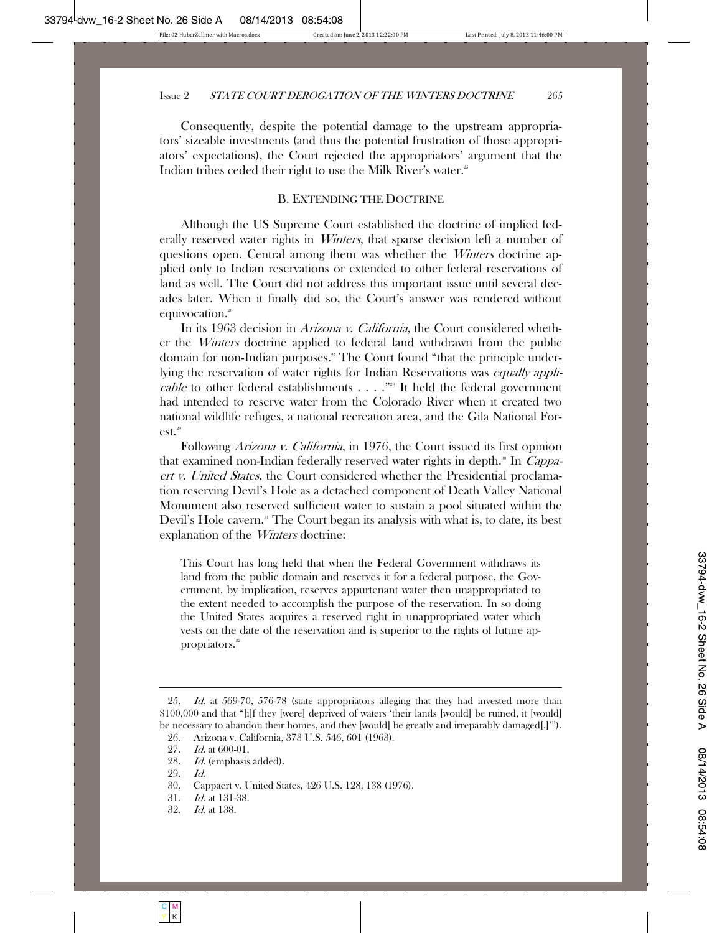Consequently, despite the potential damage to the upstream appropriators' sizeable investments (and thus the potential frustration of those appropriators' expectations), the Court rejected the appropriators' argument that the Indian tribes ceded their right to use the Milk River's water.<sup>25</sup>

#### B. EXTENDING THE DOCTRINE

Although the US Supreme Court established the doctrine of implied federally reserved water rights in *Winters*, that sparse decision left a number of questions open. Central among them was whether the Winters doctrine applied only to Indian reservations or extended to other federal reservations of land as well. The Court did not address this important issue until several decades later. When it finally did so, the Court's answer was rendered without equivocation.<sup>26</sup>

In its 1963 decision in *Arizona v. California*, the Court considered whether the Winters doctrine applied to federal land withdrawn from the public domain for non-Indian purposes.<sup>27</sup> The Court found "that the principle underlying the reservation of water rights for Indian Reservations was *equally appli*cable to other federal establishments  $\ldots$ ."<sup>28</sup> It held the federal government had intended to reserve water from the Colorado River when it created two national wildlife refuges, a national recreation area, and the Gila National For $est.<sup>29</sup>$ 

Following *Arizona v. California*, in 1976, the Court issued its first opinion that examined non-Indian federally reserved water rights in depth.<sup>30</sup> In *Cappa*ert v. United States, the Court considered whether the Presidential proclamation reserving Devil's Hole as a detached component of Death Valley National Monument also reserved sufficient water to sustain a pool situated within the Devil's Hole cavern.<sup>31</sup> The Court began its analysis with what is, to date, its best explanation of the Winters doctrine:

This Court has long held that when the Federal Government withdraws its land from the public domain and reserves it for a federal purpose, the Government, by implication, reserves appurtenant water then unappropriated to the extent needed to accomplish the purpose of the reservation. In so doing the United States acquires a reserved right in unappropriated water which vests on the date of the reservation and is superior to the rights of future appropriators.<sup>32</sup>

29. Id.

- 31. Id. at 131-38.
- 32. Id. at 138.

<sup>25.</sup> Id. at 569-70, 576-78 (state appropriators alleging that they had invested more than \$100,000 and that "[i]f they [were] deprived of waters 'their lands [would] be ruined, it [would] be necessary to abandon their homes, and they [would] be greatly and irreparably damaged[.]'"). 26. Arizona v. California, 373 U.S. 546, 601 (1963).

<sup>27.</sup> *Id.* at 600-01.

<sup>28.</sup> Id. (emphasis added).

 <sup>30.</sup> Cappaert v. United States, 426 U.S. 128, 138 (1976).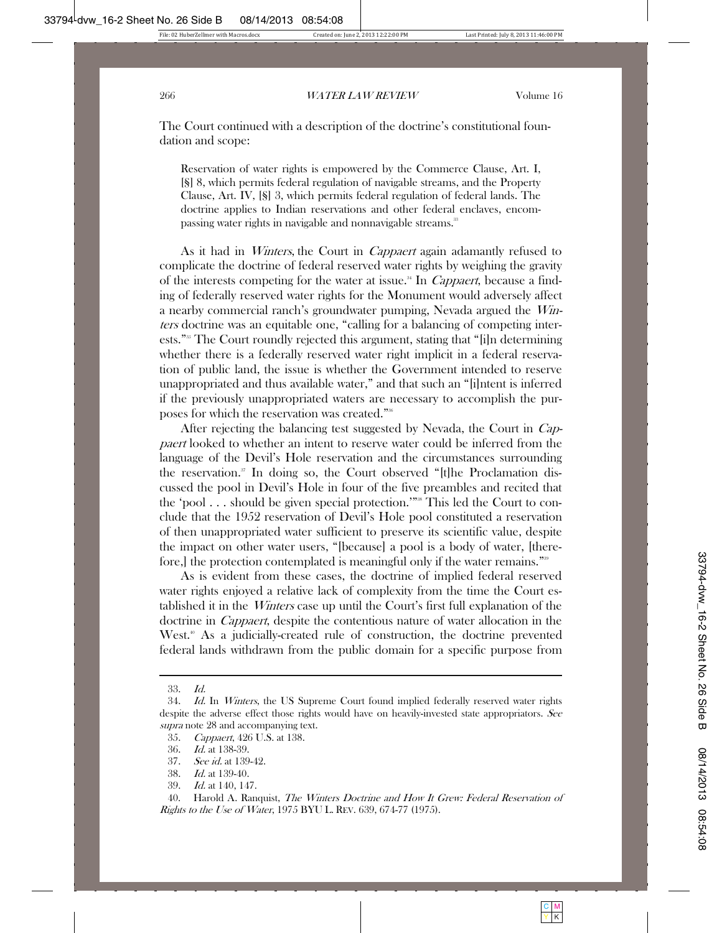The Court continued with a description of the doctrine's constitutional foundation and scope:

Reservation of water rights is empowered by the Commerce Clause, Art. I, [§] 8, which permits federal regulation of navigable streams, and the Property Clause, Art. IV, [§] 3, which permits federal regulation of federal lands. The doctrine applies to Indian reservations and other federal enclaves, encompassing water rights in navigable and nonnavigable streams.<sup>33</sup>

As it had in *Winters*, the Court in *Cappaert* again adamantly refused to complicate the doctrine of federal reserved water rights by weighing the gravity of the interests competing for the water at issue.<sup>34</sup> In *Cappaert*, because a finding of federally reserved water rights for the Monument would adversely affect a nearby commercial ranch's groundwater pumping, Nevada argued the Winters doctrine was an equitable one, "calling for a balancing of competing interests."35 The Court roundly rejected this argument, stating that "[i]n determining whether there is a federally reserved water right implicit in a federal reservation of public land, the issue is whether the Government intended to reserve unappropriated and thus available water," and that such an "[i]ntent is inferred if the previously unappropriated waters are necessary to accomplish the purposes for which the reservation was created."36

After rejecting the balancing test suggested by Nevada, the Court in Cappaert looked to whether an intent to reserve water could be inferred from the language of the Devil's Hole reservation and the circumstances surrounding the reservation.<sup>37</sup> In doing so, the Court observed " $[t]$ he Proclamation discussed the pool in Devil's Hole in four of the five preambles and recited that the 'pool . . . should be given special protection.'"<sup>38</sup> This led the Court to conclude that the 1952 reservation of Devil's Hole pool constituted a reservation of then unappropriated water sufficient to preserve its scientific value, despite the impact on other water users, "[because] a pool is a body of water, [therefore, the protection contemplated is meaningful only if the water remains."<sup>39</sup>

As is evident from these cases, the doctrine of implied federal reserved water rights enjoyed a relative lack of complexity from the time the Court established it in the Winters case up until the Court's first full explanation of the doctrine in Cappaert, despite the contentious nature of water allocation in the West.<sup>40</sup> As a judicially-created rule of construction, the doctrine prevented federal lands withdrawn from the public domain for a specific purpose from

39. Id. at 140, 147.

40. Harold A. Ranquist, *The Winters Doctrine and How It Grew: Federal Reservation of* Rights to the Use of Water, 1975 BYU L. REV. 639, 674-77 (1975).

 <sup>33.</sup> Id.

 <sup>34.</sup> Id. In Winters, the US Supreme Court found implied federally reserved water rights despite the adverse effect those rights would have on heavily-invested state appropriators. See supra note 28 and accompanying text.

 <sup>35.</sup> Cappaert, 426 U.S. at 138.

 <sup>36.</sup> Id. at 138-39.

 <sup>37.</sup> See id. at 139-42.

 <sup>38.</sup> Id. at 139-40.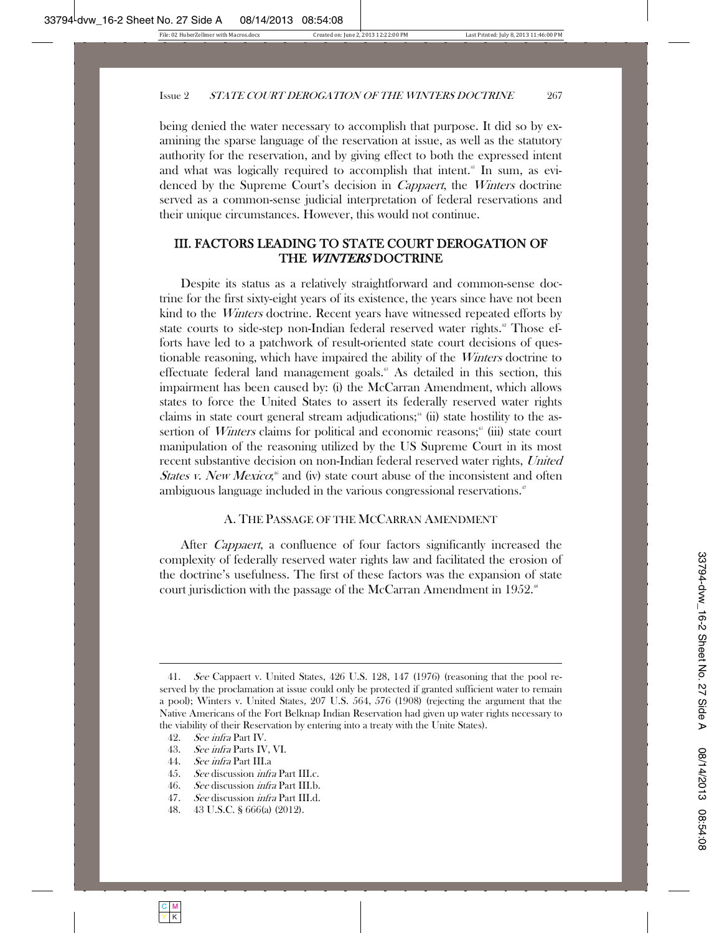being denied the water necessary to accomplish that purpose. It did so by examining the sparse language of the reservation at issue, as well as the statutory authority for the reservation, and by giving effect to both the expressed intent and what was logically required to accomplish that intent.<sup>41</sup> In sum, as evidenced by the Supreme Court's decision in *Cappaert*, the *Winters* doctrine served as a common-sense judicial interpretation of federal reservations and their unique circumstances. However, this would not continue.

# III. FACTORS LEADING TO STATE COURT DEROGATION OF THE WINTERS DOCTRINE

Despite its status as a relatively straightforward and common-sense doctrine for the first sixty-eight years of its existence, the years since have not been kind to the Winters doctrine. Recent years have witnessed repeated efforts by state courts to side-step non-Indian federal reserved water rights.<sup>42</sup> Those efforts have led to a patchwork of result-oriented state court decisions of questionable reasoning, which have impaired the ability of the Winters doctrine to effectuate federal land management goals.<sup>43</sup> As detailed in this section, this impairment has been caused by: (i) the McCarran Amendment, which allows states to force the United States to assert its federally reserved water rights claims in state court general stream adjudications;<sup>44</sup> (ii) state hostility to the assertion of *Winters* claims for political and economic reasons; $\frac{6}{10}$  (iii) state court manipulation of the reasoning utilized by the US Supreme Court in its most recent substantive decision on non-Indian federal reserved water rights, United States v. New Mexico;<sup>6</sup> and (iv) state court abuse of the inconsistent and often ambiguous language included in the various congressional reservations.<sup>47</sup>

#### A. THE PASSAGE OF THE MCCARRAN AMENDMENT

After Cappaert, a confluence of four factors significantly increased the complexity of federally reserved water rights law and facilitated the erosion of the doctrine's usefulness. The first of these factors was the expansion of state court jurisdiction with the passage of the McCarran Amendment in 1952.<sup>88</sup>

- 44. See infra Part III.a
- 45. *See* discussion *infra* Part III.c.
- 46. See discussion *infra* Part III.b.
- 47. See discussion infra Part III.d.
- 48. 43 U.S.C. § 666(a) (2012).

 <sup>41.</sup> See Cappaert v. United States, 426 U.S. 128, 147 (1976) (reasoning that the pool reserved by the proclamation at issue could only be protected if granted sufficient water to remain a pool); Winters v. United States, 207 U.S. 564, 576 (1908) (rejecting the argument that the Native Americans of the Fort Belknap Indian Reservation had given up water rights necessary to the viability of their Reservation by entering into a treaty with the Unite States).

 <sup>42.</sup> See infra Part IV.

 <sup>43.</sup> See infra Parts IV, VI.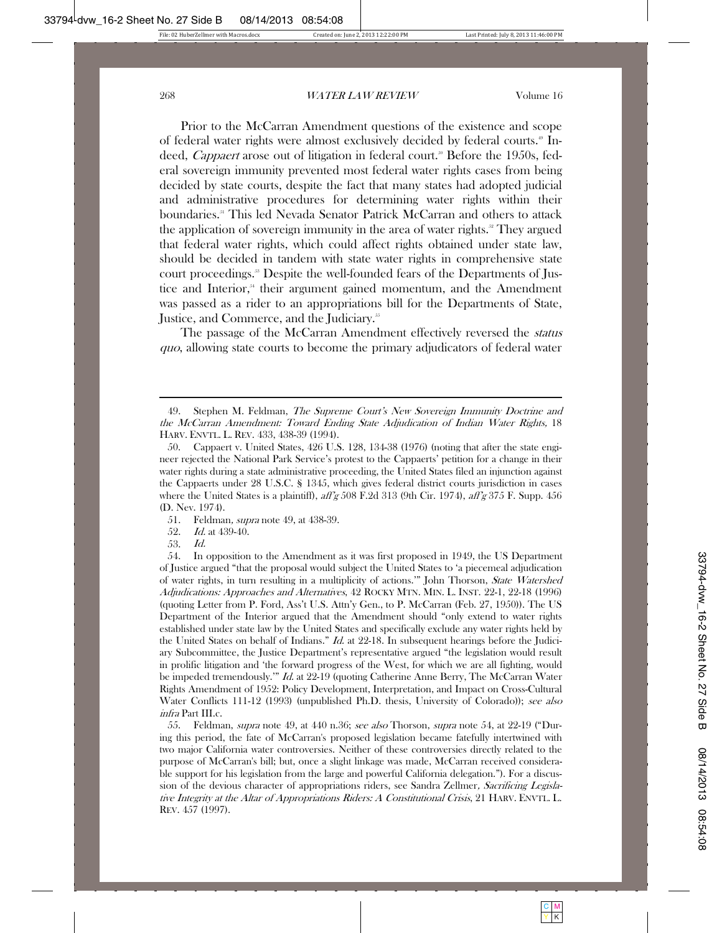Prior to the McCarran Amendment questions of the existence and scope of federal water rights were almost exclusively decided by federal courts.<sup>49</sup> Indeed, *Cappaert* arose out of litigation in federal court.<sup>30</sup> Before the 1950s, federal sovereign immunity prevented most federal water rights cases from being decided by state courts, despite the fact that many states had adopted judicial and administrative procedures for determining water rights within their boundaries.51 This led Nevada Senator Patrick McCarran and others to attack the application of sovereign immunity in the area of water rights. $\degree$  They argued that federal water rights, which could affect rights obtained under state law, should be decided in tandem with state water rights in comprehensive state court proceedings.<sup>33</sup> Despite the well-founded fears of the Departments of Justice and Interior,<sup>54</sup> their argument gained momentum, and the Amendment was passed as a rider to an appropriations bill for the Departments of State, Justice, and Commerce, and the Judiciary.<sup>55</sup>

The passage of the McCarran Amendment effectively reversed the status quo, allowing state courts to become the primary adjudicators of federal water

- 51. Feldman, *supra* note 49, at 438-39.
- 52. Id. at 439-40.
- 53. Id.

55. Feldman, *supra* note 49, at 440 n.36; see also Thorson, supra note 54, at 22-19 ("During this period, the fate of McCarran's proposed legislation became fatefully intertwined with two major California water controversies. Neither of these controversies directly related to the purpose of McCarran's bill; but, once a slight linkage was made, McCarran received considerable support for his legislation from the large and powerful California delegation."). For a discussion of the devious character of appropriations riders, see Sandra Zellmer, Sacrificing Legislative Integrity at the Altar of Appropriations Riders: A Constitutional Crisis, 21 HARV. ENVTL. L. REV. 457 (1997).

<sup>49.</sup> Stephen M. Feldman, *The Supreme Court's New Sovereign Immunity Doctrine and* the McCarran Amendment: Toward Ending State Adjudication of Indian Water Rights, 18 HARV. ENVTL. L. REV. 433, 438-39 (1994).

 <sup>50.</sup> Cappaert v. United States, 426 U.S. 128, 134-38 (1976) (noting that after the state engineer rejected the National Park Service's protest to the Cappaerts' petition for a change in their water rights during a state administrative proceeding, the United States filed an injunction against the Cappaerts under 28 U.S.C. § 1345, which gives federal district courts jurisdiction in cases where the United States is a plaintiff),  $\frac{affg}{308}$  F.2d 313 (9th Cir. 1974),  $\frac{affg}{375}$  F. Supp. 456 (D. Nev. 1974).

 <sup>54.</sup> In opposition to the Amendment as it was first proposed in 1949, the US Department of Justice argued "that the proposal would subject the United States to 'a piecemeal adjudication of water rights, in turn resulting in a multiplicity of actions.'" John Thorson, State Watershed Adjudications: Approaches and Alternatives, 42 ROCKY MTN. MIN. L. INST. 22-1, 22-18 (1996) (quoting Letter from P. Ford, Ass't U.S. Attn'y Gen., to P. McCarran (Feb. 27, 1950)). The US Department of the Interior argued that the Amendment should "only extend to water rights established under state law by the United States and specifically exclude any water rights held by the United States on behalf of Indians."  $Id$  at 22-18. In subsequent hearings before the Judiciary Subcommittee, the Justice Department's representative argued "the legislation would result in prolific litigation and 'the forward progress of the West, for which we are all fighting, would be impeded tremendously." *Id.* at 22-19 (quoting Catherine Anne Berry, The McCarran Water Rights Amendment of 1952: Policy Development, Interpretation, and Impact on Cross-Cultural Water Conflicts 111-12 (1993) (unpublished Ph.D. thesis, University of Colorado)); see also infra Part III.c.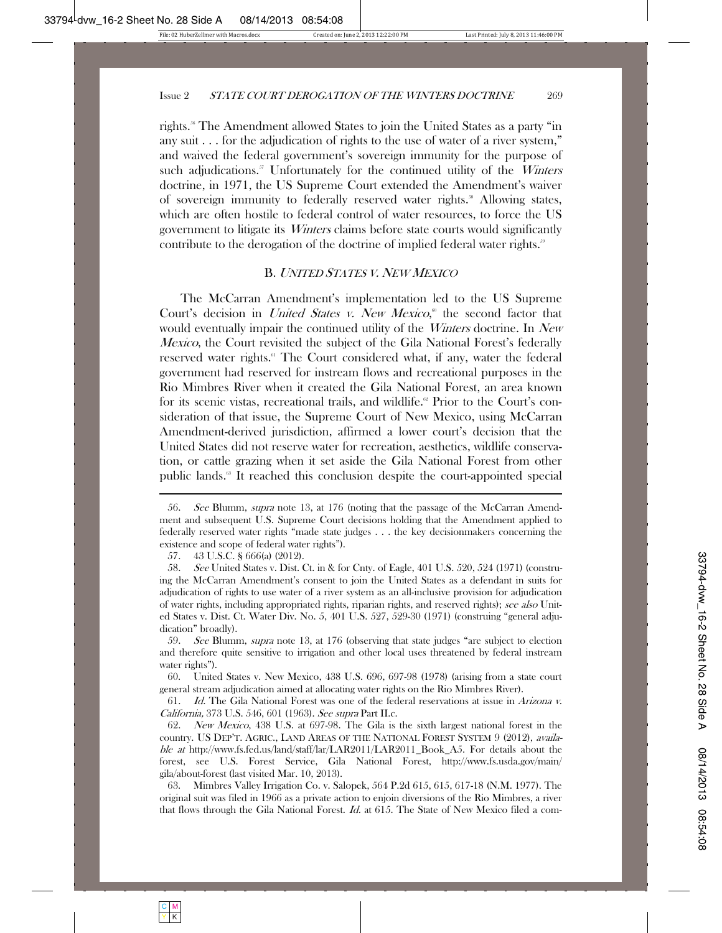rights.56 The Amendment allowed States to join the United States as a party "in any suit . . . for the adjudication of rights to the use of water of a river system," and waived the federal government's sovereign immunity for the purpose of such adjudications. $5\text{ }7$  Unfortunately for the continued utility of the *Winters* doctrine, in 1971, the US Supreme Court extended the Amendment's waiver of sovereign immunity to federally reserved water rights.<sup>38</sup> Allowing states, which are often hostile to federal control of water resources, to force the US government to litigate its Winters claims before state courts would significantly contribute to the derogation of the doctrine of implied federal water rights.<sup>39</sup>

#### B. <sup>U</sup>NITED <sup>S</sup>TATES V. <sup>N</sup>EW MEXICO

The McCarran Amendment's implementation led to the US Supreme Court's decision in *United States v. New Mexico*,<sup>®</sup> the second factor that would eventually impair the continued utility of the Winters doctrine. In New Mexico, the Court revisited the subject of the Gila National Forest's federally reserved water rights.<sup>61</sup> The Court considered what, if any, water the federal government had reserved for instream flows and recreational purposes in the Rio Mimbres River when it created the Gila National Forest, an area known for its scenic vistas, recreational trails, and wildlife.<sup> $\alpha$ </sup> Prior to the Court's consideration of that issue, the Supreme Court of New Mexico, using McCarran Amendment-derived jurisdiction, affirmed a lower court's decision that the United States did not reserve water for recreation, aesthetics, wildlife conservation, or cattle grazing when it set aside the Gila National Forest from other public lands.<sup>63</sup> It reached this conclusion despite the court-appointed special

 59. See Blumm, supra note 13, at 176 (observing that state judges "are subject to election and therefore quite sensitive to irrigation and other local uses threatened by federal instream water rights").

 60. United States v. New Mexico, 438 U.S. 696, 697-98 (1978) (arising from a state court general stream adjudication aimed at allocating water rights on the Rio Mimbres River).

 61. Id. The Gila National Forest was one of the federal reservations at issue in Arizona v. California, 373 U.S. 546, 601 (1963). See supra Part II.c.

 62. New Mexico, 438 U.S. at 697-98. The Gila is the sixth largest national forest in the country. US DEP'T. AGRIC., LAND AREAS OF THE NATIONAL FOREST SYSTEM 9 (2012), available at http://www.fs.fed.us/land/staff/lar/LAR2011/LAR2011\_Book\_A5. For details about the forest, see U.S. Forest Service, Gila National Forest, http://www.fs.usda.gov/main/ gila/about-forest (last visited Mar. 10, 2013).

 63. Mimbres Valley Irrigation Co. v. Salopek, 564 P.2d 615, 615, 617-18 (N.M. 1977). The original suit was filed in 1966 as a private action to enjoin diversions of the Rio Mimbres, a river that flows through the Gila National Forest. Id. at 615. The State of New Mexico filed a com-

 <sup>56.</sup> See Blumm, supra note 13, at 176 (noting that the passage of the McCarran Amendment and subsequent U.S. Supreme Court decisions holding that the Amendment applied to federally reserved water rights "made state judges . . . the key decisionmakers concerning the existence and scope of federal water rights").

 <sup>57. 43</sup> U.S.C. § 666(a) (2012).

<sup>58.</sup> See United States v. Dist. Ct. in & for Cnty. of Eagle, 401 U.S. 520, 524 (1971) (construing the McCarran Amendment's consent to join the United States as a defendant in suits for adjudication of rights to use water of a river system as an all-inclusive provision for adjudication of water rights, including appropriated rights, riparian rights, and reserved rights); see also United States v. Dist. Ct. Water Div. No. 5, 401 U.S. 527, 529-30 (1971) (construing "general adjudication" broadly).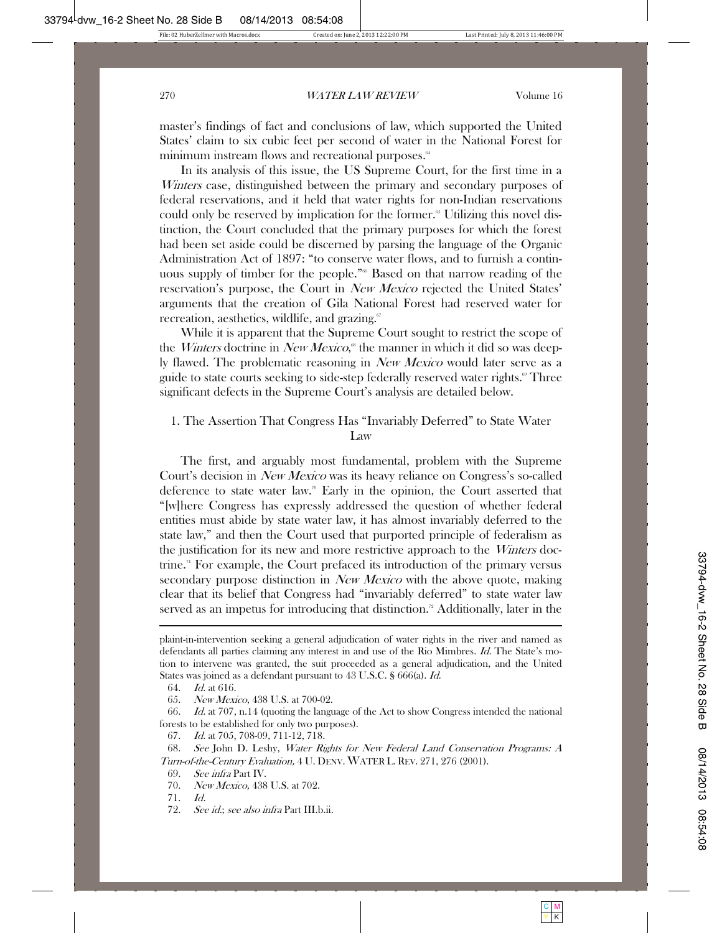master's findings of fact and conclusions of law, which supported the United States' claim to six cubic feet per second of water in the National Forest for minimum instream flows and recreational purposes.<sup>64</sup>

In its analysis of this issue, the US Supreme Court, for the first time in a Winters case, distinguished between the primary and secondary purposes of federal reservations, and it held that water rights for non-Indian reservations could only be reserved by implication for the former.<sup>65</sup> Utilizing this novel distinction, the Court concluded that the primary purposes for which the forest had been set aside could be discerned by parsing the language of the Organic Administration Act of 1897: "to conserve water flows, and to furnish a continuous supply of timber for the people."<sup>66</sup> Based on that narrow reading of the reservation's purpose, the Court in New Mexico rejected the United States' arguments that the creation of Gila National Forest had reserved water for recreation, aesthetics, wildlife, and grazing. $\mathscr{I}$ 

While it is apparent that the Supreme Court sought to restrict the scope of the *Winters* doctrine in *New Mexico*,<sup>®</sup> the manner in which it did so was deeply flawed. The problematic reasoning in New Mexico would later serve as a guide to state courts seeking to side-step federally reserved water rights.<sup>®</sup> Three significant defects in the Supreme Court's analysis are detailed below.

# 1. The Assertion That Congress Has "Invariably Deferred" to State Water Law

The first, and arguably most fundamental, problem with the Supreme Court's decision in New Mexico was its heavy reliance on Congress's so-called deference to state water law.<sup>70</sup> Early in the opinion, the Court asserted that "[w]here Congress has expressly addressed the question of whether federal entities must abide by state water law, it has almost invariably deferred to the state law," and then the Court used that purported principle of federalism as the justification for its new and more restrictive approach to the *Winters* doctrine.<sup>71</sup> For example, the Court prefaced its introduction of the primary versus secondary purpose distinction in *New Mexico* with the above quote, making clear that its belief that Congress had "invariably deferred" to state water law served as an impetus for introducing that distinction.<sup>72</sup> Additionally, later in the 

67. Id. at 705, 708-09, 711-12, 718.

plaint-in-intervention seeking a general adjudication of water rights in the river and named as defendants all parties claiming any interest in and use of the Rio Mimbres. *Id.* The State's motion to intervene was granted, the suit proceeded as a general adjudication, and the United States was joined as a defendant pursuant to 43 U.S.C. § 666(a). *Id.* 

 <sup>64.</sup> Id. at 616.

 <sup>65.</sup> New Mexico, 438 U.S. at 700-02.

 <sup>66.</sup> Id. at 707, n.14 (quoting the language of the Act to show Congress intended the national forests to be established for only two purposes).

 <sup>68.</sup> See John D. Leshy, Water Rights for New Federal Land Conservation Programs: A Turn-of-the-Century Evaluation, 4 U. DENV. WATER L. REV. 271, 276 (2001).

 <sup>69.</sup> See infra Part IV.

 <sup>70.</sup> New Mexico, 438 U.S. at 702.

 <sup>71.</sup> Id.

 <sup>72.</sup> See id.; see also infra Part III.b.ii.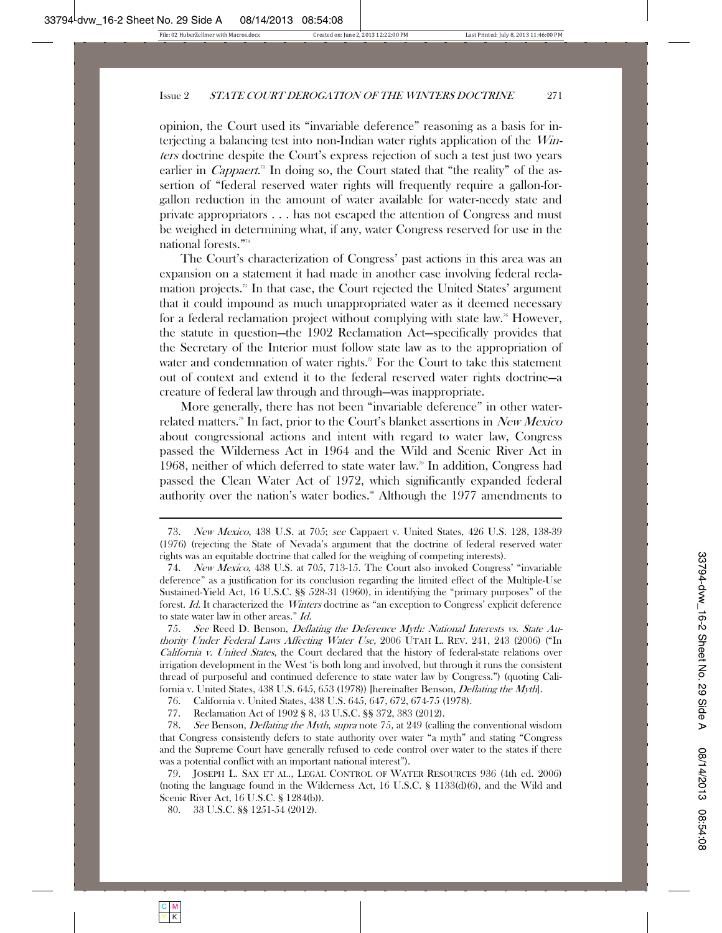opinion, the Court used its "invariable deference" reasoning as a basis for interjecting a balancing test into non-Indian water rights application of the Winters doctrine despite the Court's express rejection of such a test just two years earlier in *Cappaert*.<sup>78</sup> In doing so, the Court stated that "the reality" of the assertion of "federal reserved water rights will frequently require a gallon-forgallon reduction in the amount of water available for water-needy state and private appropriators . . . has not escaped the attention of Congress and must be weighed in determining what, if any, water Congress reserved for use in the national forests."74

The Court's characterization of Congress' past actions in this area was an expansion on a statement it had made in another case involving federal reclamation projects.75 In that case, the Court rejected the United States' argument that it could impound as much unappropriated water as it deemed necessary for a federal reclamation project without complying with state law.<sup>76</sup> However, the statute in question—the 1902 Reclamation Act—specifically provides that the Secretary of the Interior must follow state law as to the appropriation of water and condemnation of water rights." For the Court to take this statement out of context and extend it to the federal reserved water rights doctrine—a creature of federal law through and through—was inappropriate.

More generally, there has not been "invariable deference" in other waterrelated matters.<sup>78</sup> In fact, prior to the Court's blanket assertions in *New Mexico* about congressional actions and intent with regard to water law, Congress passed the Wilderness Act in 1964 and the Wild and Scenic River Act in 1968, neither of which deferred to state water law.<sup>79</sup> In addition, Congress had passed the Clean Water Act of 1972, which significantly expanded federal authority over the nation's water bodies.<sup>80</sup> Although the 1977 amendments to

 75. See Reed D. Benson, Deflating the Deference Myth: National Interests vs. State Authority Under Federal Laws Affecting Water Use, 2006 UTAH L. REV. 241, 243 (2006) ("In California v. United States, the Court declared that the history of federal-state relations over irrigation development in the West 'is both long and involved, but through it runs the consistent thread of purposeful and continued deference to state water law by Congress.") (quoting California v. United States, 438 U.S. 645, 653 (1978)) [hereinafter Benson, *Deflating the Myth*].

76. California v. United States, 438 U.S. 645, 647, 672, 674-75 (1978).

77. Reclamation Act of 1902 § 8, 43 U.S.C. §§ 372, 383 (2012).

78. See Benson, *Deflating the Myth, supra* note 75, at 249 (calling the conventional wisdom that Congress consistently defers to state authority over water "a myth" and stating "Congress and the Supreme Court have generally refused to cede control over water to the states if there was a potential conflict with an important national interest").

 79. JOSEPH L. SAX ET AL., LEGAL CONTROL OF WATER RESOURCES 936 (4th ed. 2006) (noting the language found in the Wilderness Act, 16 U.S.C. § 1133(d)(6), and the Wild and Scenic River Act, 16 U.S.C. § 1284(b)).

80. 33 U.S.C. §§ 1251-54 (2012).

 <sup>73.</sup> New Mexico, 438 U.S. at 705; see Cappaert v. United States, 426 U.S. 128, 138-39 (1976) (rejecting the State of Nevada's argument that the doctrine of federal reserved water rights was an equitable doctrine that called for the weighing of competing interests).

 <sup>74.</sup> New Mexico, 438 U.S. at 705, 713-15. The Court also invoked Congress' "invariable deference" as a justification for its conclusion regarding the limited effect of the Multiple-Use Sustained-Yield Act, 16 U.S.C. §§ 528-31 (1960), in identifying the "primary purposes" of the forest. Id. It characterized the Winters doctrine as "an exception to Congress' explicit deference to state water law in other areas." Id.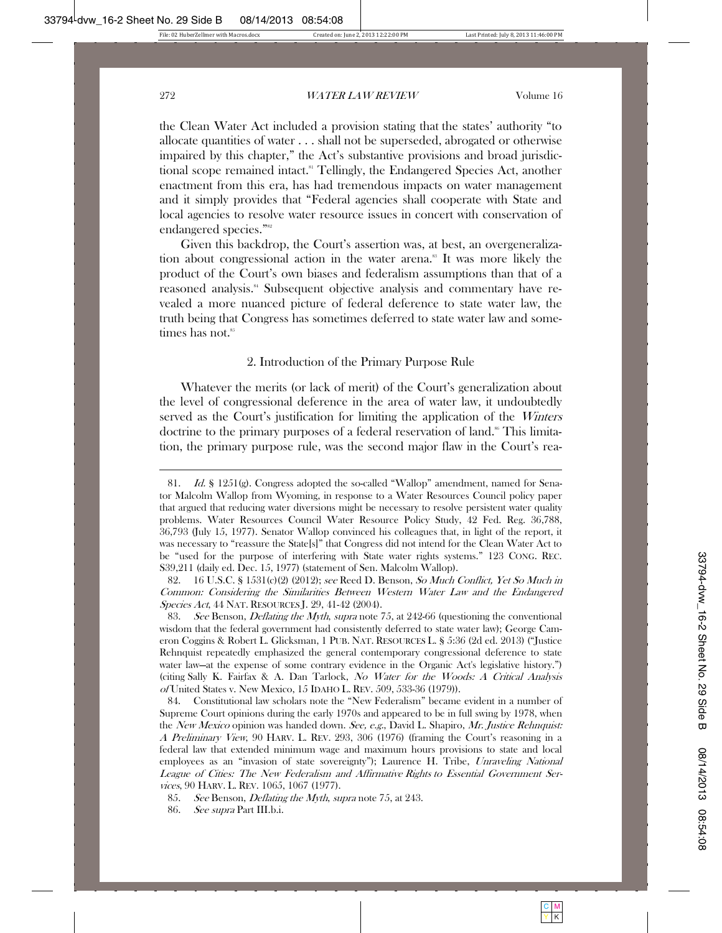the Clean Water Act included a provision stating that the states' authority "to allocate quantities of water . . . shall not be superseded, abrogated or otherwise impaired by this chapter," the Act's substantive provisions and broad jurisdictional scope remained intact.<sup>81</sup> Tellingly, the Endangered Species Act, another enactment from this era, has had tremendous impacts on water management and it simply provides that "Federal agencies shall cooperate with State and local agencies to resolve water resource issues in concert with conservation of endangered species."<sup>82</sup>

Given this backdrop, the Court's assertion was, at best, an overgeneralization about congressional action in the water arena.<sup>88</sup> It was more likely the product of the Court's own biases and federalism assumptions than that of a reasoned analysis.<sup>84</sup> Subsequent objective analysis and commentary have revealed a more nuanced picture of federal deference to state water law, the truth being that Congress has sometimes deferred to state water law and sometimes has not.<sup>85</sup>

2. Introduction of the Primary Purpose Rule

Whatever the merits (or lack of merit) of the Court's generalization about the level of congressional deference in the area of water law, it undoubtedly served as the Court's justification for limiting the application of the *Winters* doctrine to the primary purposes of a federal reservation of land.<sup>86</sup> This limitation, the primary purpose rule, was the second major flaw in the Court's rea-

 82. 16 U.S.C. § 1531(c)(2) (2012); see Reed D. Benson, So Much Conflict, Yet So Much in Common: Considering the Similarities Between Western Water Law and the Endangered Species Act, 44 NAT. RESOURCES J. 29, 41-42 (2004).

83. See Benson, *Deflating the Myth, supra* note 75, at 242-66 (questioning the conventional wisdom that the federal government had consistently deferred to state water law); George Cameron Coggins & Robert L. Glicksman, 1 PUB. NAT. RESOURCES L. § 5:36 (2d ed. 2013) ("Justice Rehnquist repeatedly emphasized the general contemporary congressional deference to state water law—at the expense of some contrary evidence in the Organic Act's legislative history.") (citing Sally K. Fairfax & A. Dan Tarlock, No Water for the Woods: A Critical Analysis of United States v. New Mexico, 15 IDAHO L. REV. 509, 533-36 (1979)).

 84. Constitutional law scholars note the "New Federalism" became evident in a number of Supreme Court opinions during the early 1970s and appeared to be in full swing by 1978, when the New Mexico opinion was handed down. See, e.g., David L. Shapiro, Mr. Justice Rehnquist: A Preliminary View, 90 HARV. L. REV. 293, 306 (1976) (framing the Court's reasoning in a federal law that extended minimum wage and maximum hours provisions to state and local employees as an "invasion of state sovereignty"); Laurence H. Tribe, Unraveling National League of Cities: The New Federalism and Affirmative Rights to Essential Government Services, 90 HARV. L. REV. 1065, 1067 (1977).

 <sup>81.</sup> Id. § 1251(g). Congress adopted the so-called "Wallop" amendment, named for Senator Malcolm Wallop from Wyoming, in response to a Water Resources Council policy paper that argued that reducing water diversions might be necessary to resolve persistent water quality problems. Water Resources Council Water Resource Policy Study, 42 Fed. Reg. 36,788, 36,793 (July 15, 1977). Senator Wallop convinced his colleagues that, in light of the report, it was necessary to "reassure the State[s]" that Congress did not intend for the Clean Water Act to be "used for the purpose of interfering with State water rights systems." 123 CONG. REC. S39,211 (daily ed. Dec. 15, 1977) (statement of Sen. Malcolm Wallop).

 <sup>85.</sup> See Benson, Deflating the Myth, supra note 75, at 243.

<sup>86.</sup> *See supra* Part III.b.i.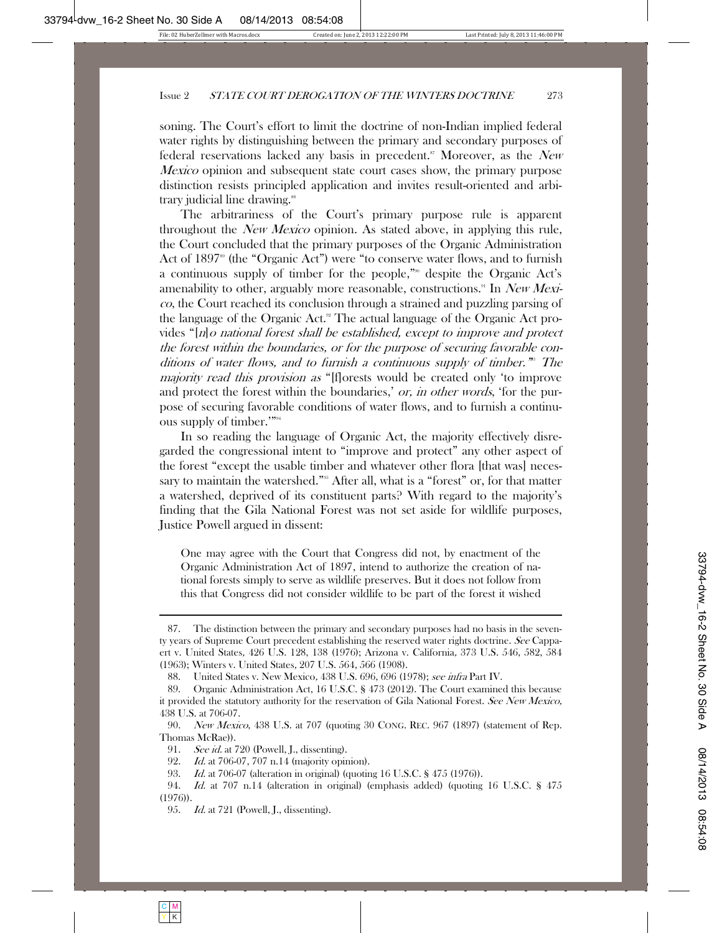soning. The Court's effort to limit the doctrine of non-Indian implied federal water rights by distinguishing between the primary and secondary purposes of federal reservations lacked any basis in precedent.<sup>87</sup> Moreover, as the New *Mexico* opinion and subsequent state court cases show, the primary purpose distinction resists principled application and invites result-oriented and arbitrary judicial line drawing.<sup>88</sup>

The arbitrariness of the Court's primary purpose rule is apparent throughout the *New Mexico* opinion. As stated above, in applying this rule, the Court concluded that the primary purposes of the Organic Administration Act of  $1897^{\circ}$  (the "Organic Act") were "to conserve water flows, and to furnish a continuous supply of timber for the people,"90 despite the Organic Act's amenability to other, arguably more reasonable, constructions.<sup>91</sup> In New Mexico, the Court reached its conclusion through a strained and puzzling parsing of the language of the Organic Act.<sup>92</sup> The actual language of the Organic Act provides "[n]o national forest shall be established, except to improve and protect the forest within the boundaries, or for the purpose of securing favorable conditions of water flows, and to furnish a continuous supply of timber.<sup>78</sup> The majority read this provision as "[f]orests would be created only 'to improve and protect the forest within the boundaries,' *or, in other words*, 'for the purpose of securing favorable conditions of water flows, and to furnish a continuous supply of timber.'"94

In so reading the language of Organic Act, the majority effectively disregarded the congressional intent to "improve and protect" any other aspect of the forest "except the usable timber and whatever other flora [that was] necessary to maintain the watershed."<sup>95</sup> After all, what is a "forest" or, for that matter a watershed, deprived of its constituent parts? With regard to the majority's finding that the Gila National Forest was not set aside for wildlife purposes, Justice Powell argued in dissent:

One may agree with the Court that Congress did not, by enactment of the Organic Administration Act of 1897, intend to authorize the creation of national forests simply to serve as wildlife preserves. But it does not follow from this that Congress did not consider wildlife to be part of the forest it wished

 <sup>87.</sup> The distinction between the primary and secondary purposes had no basis in the seventy years of Supreme Court precedent establishing the reserved water rights doctrine. See Cappaert v. United States, 426 U.S. 128, 138 (1976); Arizona v. California, 373 U.S. 546, 582, 584 (1963); Winters v. United States, 207 U.S. 564, 566 (1908).

 <sup>88.</sup> United States v. New Mexico, 438 U.S. 696, 696 (1978); see infra Part IV.

 <sup>89.</sup> Organic Administration Act, 16 U.S.C. § 473 (2012). The Court examined this because it provided the statutory authority for the reservation of Gila National Forest. See New Mexico, 438 U.S. at 706-07.

 <sup>90.</sup> New Mexico, 438 U.S. at 707 (quoting 30 CONG. REC. 967 (1897) (statement of Rep. Thomas McRae)).

<sup>91.</sup> *See id.* at 720 (Powell, J., dissenting).

 <sup>92.</sup> Id. at 706-07, 707 n.14 (majority opinion).

 <sup>93.</sup> Id. at 706-07 (alteration in original) (quoting 16 U.S.C. § 475 (1976)).

 <sup>94.</sup> Id. at 707 n.14 (alteration in original) (emphasis added) (quoting 16 U.S.C. § 475 (1976)).

<sup>95.</sup> Id. at 721 (Powell, J., dissenting).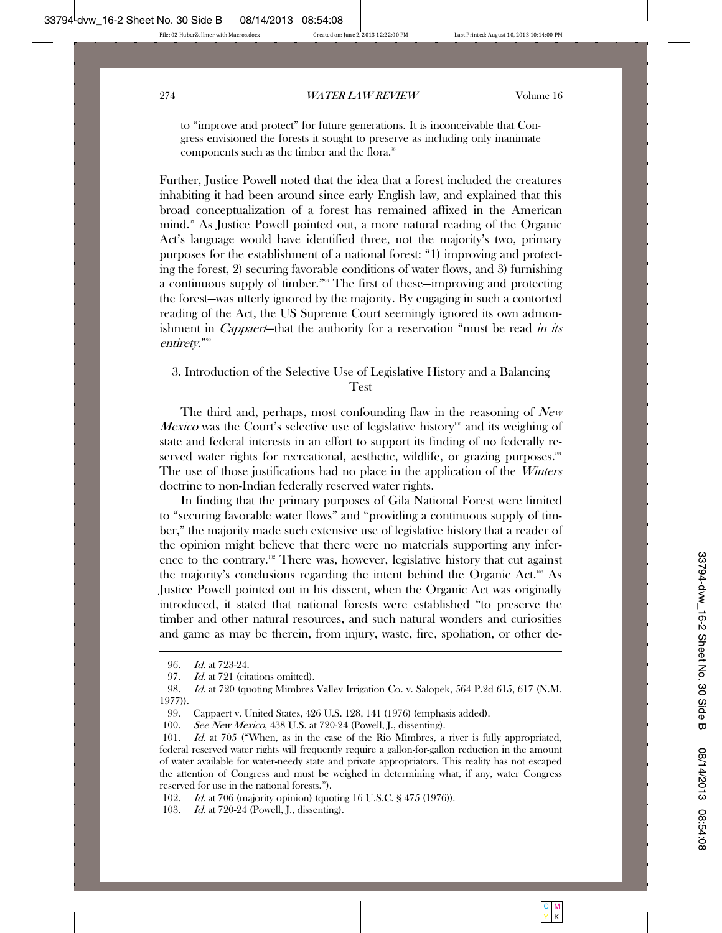to "improve and protect" for future generations. It is inconceivable that Congress envisioned the forests it sought to preserve as including only inanimate components such as the timber and the flora.<sup>96</sup>

Further, Justice Powell noted that the idea that a forest included the creatures inhabiting it had been around since early English law, and explained that this broad conceptualization of a forest has remained affixed in the American mind.<sup>97</sup> As Justice Powell pointed out, a more natural reading of the Organic Act's language would have identified three, not the majority's two, primary purposes for the establishment of a national forest: "1) improving and protecting the forest, 2) securing favorable conditions of water flows, and 3) furnishing a continuous supply of timber."98 The first of these—improving and protecting the forest—was utterly ignored by the majority. By engaging in such a contorted reading of the Act, the US Supreme Court seemingly ignored its own admonishment in *Cappaert*—that the authority for a reservation "must be read *in its* entirety."<sup>99</sup>

#### 3. Introduction of the Selective Use of Legislative History and a Balancing Test

The third and, perhaps, most confounding flaw in the reasoning of New *Mexico* was the Court's selective use of legislative history<sup>100</sup> and its weighing of state and federal interests in an effort to support its finding of no federally reserved water rights for recreational, aesthetic, wildlife, or grazing purposes.<sup>101</sup> The use of those justifications had no place in the application of the *Winters* doctrine to non-Indian federally reserved water rights.

In finding that the primary purposes of Gila National Forest were limited to "securing favorable water flows" and "providing a continuous supply of timber," the majority made such extensive use of legislative history that a reader of the opinion might believe that there were no materials supporting any inference to the contrary.<sup>102</sup> There was, however, legislative history that cut against the majority's conclusions regarding the intent behind the Organic Act.<sup>103</sup> As Justice Powell pointed out in his dissent, when the Organic Act was originally introduced, it stated that national forests were established "to preserve the timber and other natural resources, and such natural wonders and curiosities and game as may be therein, from injury, waste, fire, spoliation, or other de-

 <sup>96.</sup> Id. at 723-24.

<sup>97.</sup> Id. at 721 (citations omitted).

 <sup>98.</sup> Id. at 720 (quoting Mimbres Valley Irrigation Co. v. Salopek, 564 P.2d 615, 617 (N.M. 1977)).

 <sup>99.</sup> Cappaert v. United States, 426 U.S. 128, 141 (1976) (emphasis added).

 <sup>100.</sup> See New Mexico, 438 U.S. at 720-24 (Powell, J., dissenting).

 <sup>101.</sup> Id. at 705 ("When, as in the case of the Rio Mimbres, a river is fully appropriated, federal reserved water rights will frequently require a gallon-for-gallon reduction in the amount of water available for water-needy state and private appropriators. This reality has not escaped the attention of Congress and must be weighed in determining what, if any, water Congress reserved for use in the national forests.").

 <sup>102.</sup> Id. at 706 (majority opinion) (quoting 16 U.S.C. § 475 (1976)).

<sup>103.</sup> Id. at 720-24 (Powell, J., dissenting).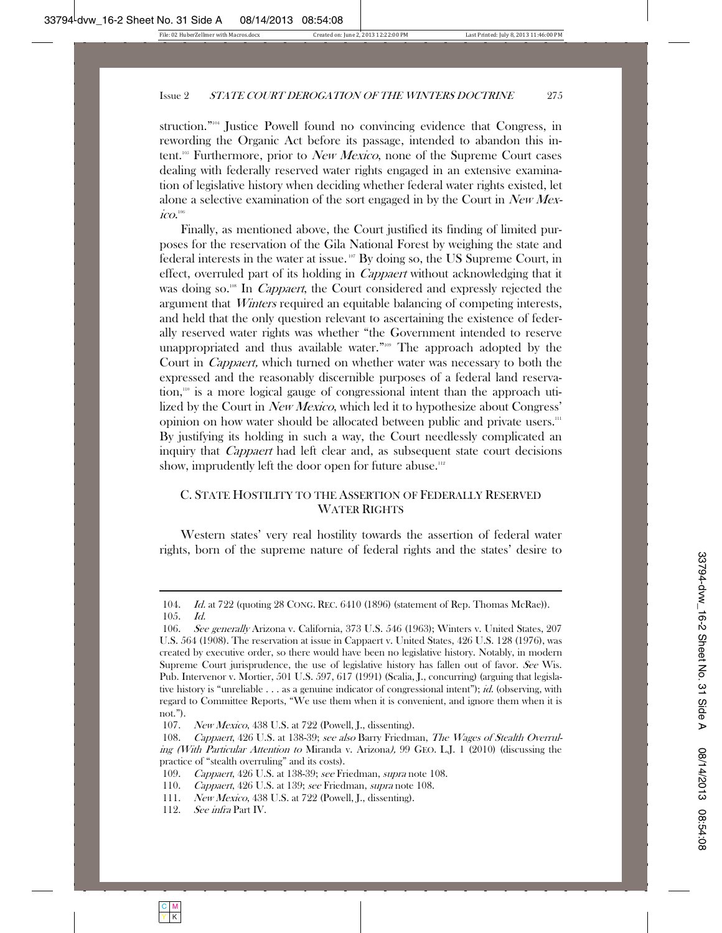struction."104 Justice Powell found no convincing evidence that Congress, in rewording the Organic Act before its passage, intended to abandon this intent.<sup>105</sup> Furthermore, prior to *New Mexico*, none of the Supreme Court cases dealing with federally reserved water rights engaged in an extensive examination of legislative history when deciding whether federal water rights existed, let alone a selective examination of the sort engaged in by the Court in  $New$  $\it ico.$ 

Finally, as mentioned above, the Court justified its finding of limited purposes for the reservation of the Gila National Forest by weighing the state and federal interests in the water at issue.<sup>107</sup> By doing so, the US Supreme Court, in effect, overruled part of its holding in *Cappaert* without acknowledging that it was doing so.<sup>108</sup> In *Cappaert*, the Court considered and expressly rejected the argument that *Winters* required an equitable balancing of competing interests, and held that the only question relevant to ascertaining the existence of federally reserved water rights was whether "the Government intended to reserve unappropriated and thus available water."<sup>109</sup> The approach adopted by the Court in Cappaert, which turned on whether water was necessary to both the expressed and the reasonably discernible purposes of a federal land reservation,<sup>110</sup> is a more logical gauge of congressional intent than the approach utilized by the Court in *New Mexico*, which led it to hypothesize about Congress' opinion on how water should be allocated between public and private users.111 By justifying its holding in such a way, the Court needlessly complicated an inquiry that *Cappaert* had left clear and, as subsequent state court decisions show, imprudently left the door open for future abuse.<sup>112</sup>

#### C. STATE HOSTILITY TO THE ASSERTION OF FEDERALLY RESERVED WATER RIGHTS

Western states' very real hostility towards the assertion of federal water rights, born of the supreme nature of federal rights and the states' desire to

 <sup>104.</sup> Id. at 722 (quoting 28 CONG. REC. 6410 (1896) (statement of Rep. Thomas McRae)). 105. Id.

 <sup>106.</sup> See generally Arizona v. California, 373 U.S. 546 (1963); Winters v. United States, 207 U.S. 564 (1908). The reservation at issue in Cappaert v. United States, 426 U.S. 128 (1976), was created by executive order, so there would have been no legislative history. Notably, in modern Supreme Court jurisprudence, the use of legislative history has fallen out of favor. See Wis. Pub. Intervenor v. Mortier, 501 U.S. 597, 617 (1991) (Scalia, J., concurring) (arguing that legislative history is "unreliable . . . as a genuine indicator of congressional intent"); *id.* (observing, with regard to Committee Reports, "We use them when it is convenient, and ignore them when it is not.").

 <sup>107.</sup> New Mexico, 438 U.S. at 722 (Powell, J., dissenting).

 <sup>108.</sup> Cappaert, 426 U.S. at 138-39; see also Barry Friedman, The Wages of Stealth Overruling (With Particular Attention to Miranda v. Arizona), 99 GEO. L.J. 1 (2010) (discussing the practice of "stealth overruling" and its costs).

<sup>109.</sup> Cappaert, 426 U.S. at 138-39; see Friedman, supra note 108.

<sup>110.</sup> Cappaert, 426 U.S. at 139; see Friedman, supra note 108.

 <sup>111.</sup> New Mexico, 438 U.S. at 722 (Powell, J., dissenting).

 <sup>112.</sup> See infra Part IV.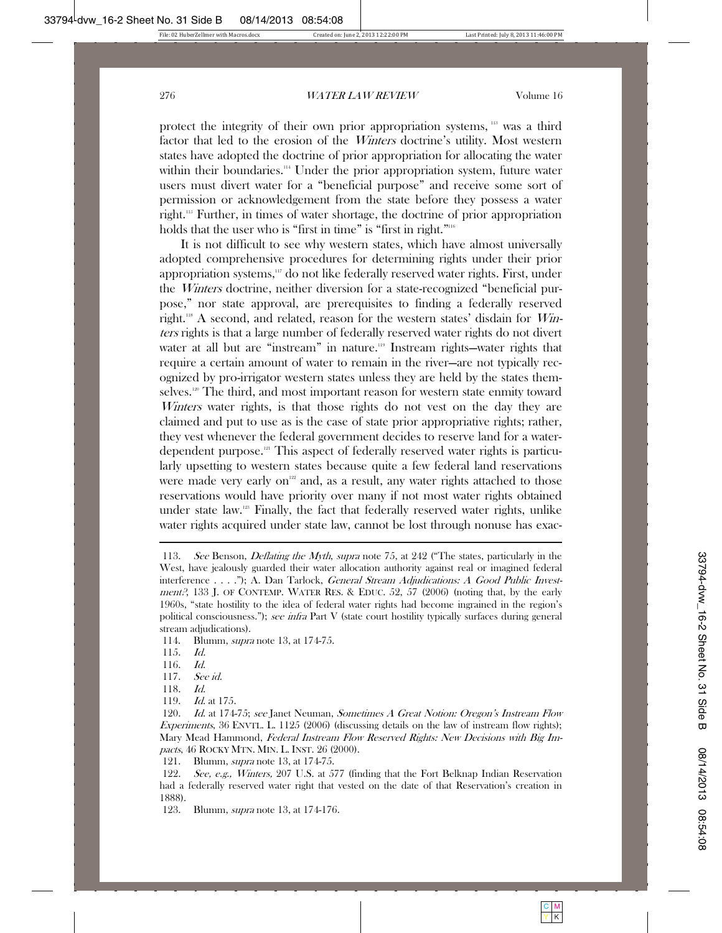protect the integrity of their own prior appropriation systems, <sup>113</sup> was a third factor that led to the erosion of the Winters doctrine's utility. Most western states have adopted the doctrine of prior appropriation for allocating the water within their boundaries.<sup>114</sup> Under the prior appropriation system, future water users must divert water for a "beneficial purpose" and receive some sort of permission or acknowledgement from the state before they possess a water right.115 Further, in times of water shortage, the doctrine of prior appropriation holds that the user who is "first in time" is "first in right."<sup>116</sup>

It is not difficult to see why western states, which have almost universally adopted comprehensive procedures for determining rights under their prior appropriation systems, $117$  do not like federally reserved water rights. First, under the Winters doctrine, neither diversion for a state-recognized "beneficial purpose," nor state approval, are prerequisites to finding a federally reserved right.<sup>118</sup> A second, and related, reason for the western states' disdain for  $W\!im$ ters rights is that a large number of federally reserved water rights do not divert water at all but are "instream" in nature.<sup>119</sup> Instream rights—water rights that require a certain amount of water to remain in the river—are not typically recognized by pro-irrigator western states unless they are held by the states themselves.<sup>120</sup> The third, and most important reason for western state enmity toward Winters water rights, is that those rights do not vest on the day they are claimed and put to use as is the case of state prior appropriative rights; rather, they vest whenever the federal government decides to reserve land for a waterdependent purpose.121 This aspect of federally reserved water rights is particularly upsetting to western states because quite a few federal land reservations were made very early on<sup>122</sup> and, as a result, any water rights attached to those reservations would have priority over many if not most water rights obtained under state law.123 Finally, the fact that federally reserved water rights, unlike water rights acquired under state law, cannot be lost through nonuse has exac-

- 114. Blumm, supra note 13, at 174-75.
- 115. Id.

- 116. Id.
- 117. See id.
- 118. Id.
- 119. Id. at 175.

 120. Id. at 174-75; see Janet Neuman, Sometimes A Great Notion: Oregon's Instream Flow Experiments, 36 ENVTL. L. 1125 (2006) (discussing details on the law of instream flow rights); Mary Mead Hammond, Federal Instream Flow Reserved Rights: New Decisions with Big Impacts, 46 ROCKY MTN. MIN. L. INST. 26 (2000).

121. Blumm, supra note 13, at 174-75.

<sup>113.</sup> See Benson, *Deflating the Myth, supra* note 75, at 242 ("The states, particularly in the West, have jealously guarded their water allocation authority against real or imagined federal interference . . . ."); A. Dan Tarlock, *General Stream Adjudications: A Good Public Investment?*, 133 J. OF CONTEMP. WATER RES. & EDUC.  $52$ ,  $57$  (2006) (noting that, by the early 1960s, "state hostility to the idea of federal water rights had become ingrained in the region's political consciousness."); see infra Part V (state court hostility typically surfaces during general stream adjudications).

 <sup>122.</sup> See, e.g., Winters, 207 U.S. at 577 (finding that the Fort Belknap Indian Reservation had a federally reserved water right that vested on the date of that Reservation's creation in 1888).

<sup>123.</sup> Blumm, *supra* note 13, at 174-176.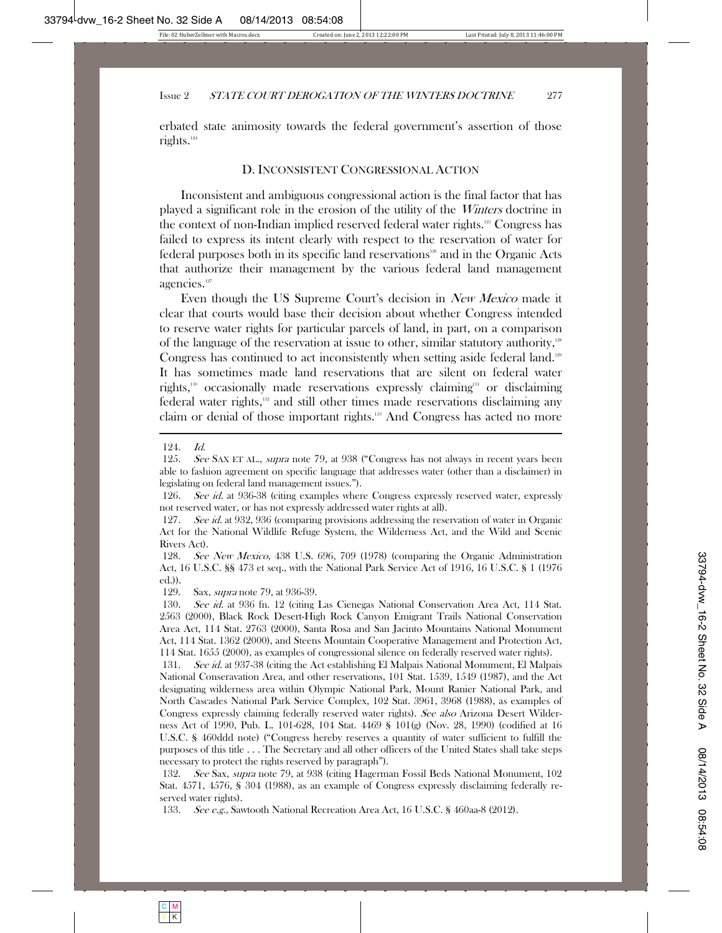erbated state animosity towards the federal government's assertion of those rights.<sup>124</sup>

#### D. INCONSISTENT CONGRESSIONAL ACTION

Inconsistent and ambiguous congressional action is the final factor that has played a significant role in the erosion of the utility of the Winters doctrine in the context of non-Indian implied reserved federal water rights.<sup>125</sup> Congress has failed to express its intent clearly with respect to the reservation of water for federal purposes both in its specific land reservations<sup>126</sup> and in the Organic Acts that authorize their management by the various federal land management agencies.<sup>127</sup>

Even though the US Supreme Court's decision in New Mexico made it clear that courts would base their decision about whether Congress intended to reserve water rights for particular parcels of land, in part, on a comparison of the language of the reservation at issue to other, similar statutory authority,<sup>128</sup> Congress has continued to act inconsistently when setting aside federal land.<sup>129</sup> It has sometimes made land reservations that are silent on federal water rights,<sup>130</sup> occasionally made reservations expressly claiming<sup>131</sup> or disclaiming federal water rights,132 and still other times made reservations disclaiming any claim or denial of those important rights.<sup>133</sup> And Congress has acted no more

129. Sax, supra note 79, at 936-39.

 <sup>124.</sup> Id.

<sup>125.</sup> See SAX ET AL., supra note 79, at 938 ("Congress has not always in recent years been able to fashion agreement on specific language that addresses water (other than a disclaimer) in legislating on federal land management issues.").

<sup>126.</sup> See id. at 936-38 (citing examples where Congress expressly reserved water, expressly not reserved water, or has not expressly addressed water rights at all).

 <sup>127.</sup> See id. at 932, 936 (comparing provisions addressing the reservation of water in Organic Act for the National Wildlife Refuge System, the Wilderness Act, and the Wild and Scenic Rivers Act).

 <sup>128.</sup> See New Mexico, 438 U.S. 696, 709 (1978) (comparing the Organic Administration Act, 16 U.S.C. §§ 473 et seq., with the National Park Service Act of 1916, 16 U.S.C. § 1 (1976 ed.)).

<sup>130.</sup> See id. at 936 fn. 12 (citing Las Cienegas National Conservation Area Act, 114 Stat. 2563 (2000), Black Rock Desert-High Rock Canyon Emigrant Trails National Conservation Area Act, 114 Stat. 2763 (2000), Santa Rosa and San Jacinto Mountains National Monument Act, 114 Stat. 1362 (2000), and Steens Mountain Cooperative Management and Protection Act, 114 Stat. 1655 (2000), as examples of congressional silence on federally reserved water rights).

 <sup>131.</sup> See id. at 937-38 (citing the Act establishing El Malpais National Monument, El Malpais National Conseravation Area, and other reservations, 101 Stat. 1539, 1549 (1987), and the Act designating wilderness area within Olympic National Park, Mount Ranier National Park, and North Cascades National Park Service Complex, 102 Stat. 3961, 3968 (1988), as examples of Congress expressly claiming federally reserved water rights). See also Arizona Desert Wilderness Act of 1990, Pub. L. 101-628, 104 Stat. 4469 § 101(g) (Nov. 28, 1990) (codified at 16 U.S.C. § 460ddd note) ("Congress hereby reserves a quantity of water sufficient to fulfill the purposes of this title . . . The Secretary and all other officers of the United States shall take steps necessary to protect the rights reserved by paragraph").

<sup>132.</sup> See Sax, supra note 79, at 938 (citing Hagerman Fossil Beds National Monument, 102) Stat. 4571, 4576, § 304 (1988), as an example of Congress expressly disclaiming federally reserved water rights).

 <sup>133.</sup> See e.g., Sawtooth National Recreation Area Act, 16 U.S.C. § 460aa-8 (2012).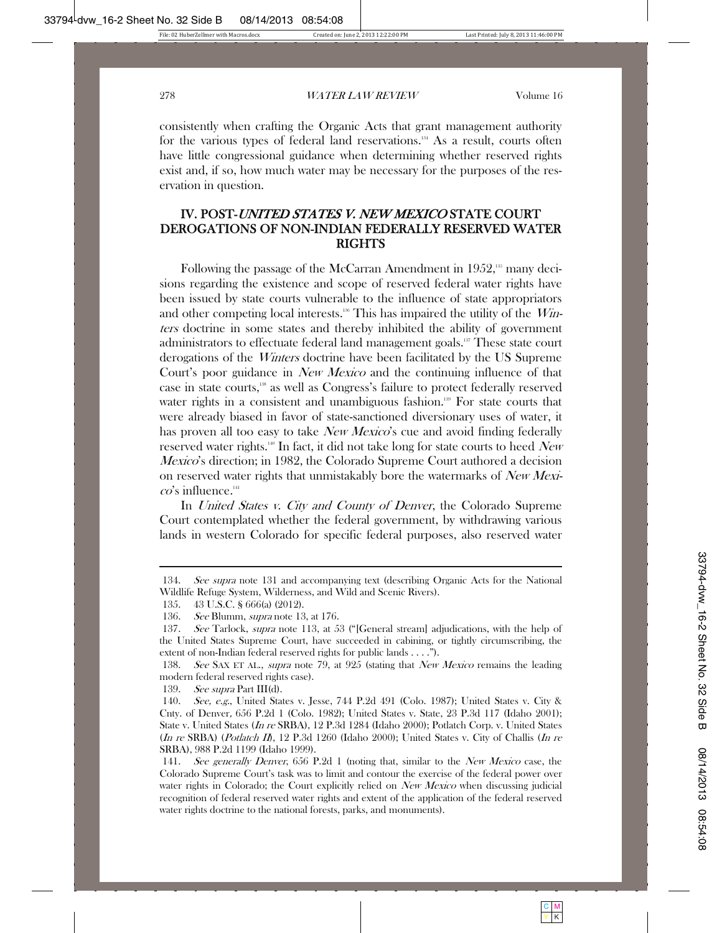consistently when crafting the Organic Acts that grant management authority for the various types of federal land reservations.<sup>134</sup> As a result, courts often have little congressional guidance when determining whether reserved rights exist and, if so, how much water may be necessary for the purposes of the reservation in question.

# IV. POST-UNITED STATES V. NEW MEXICO STATE COURT DEROGATIONS OF NON-INDIAN FEDERALLY RESERVED WATER RIGHTS

Following the passage of the McCarran Amendment in 1952,<sup>135</sup> many decisions regarding the existence and scope of reserved federal water rights have been issued by state courts vulnerable to the influence of state appropriators and other competing local interests.<sup>136</sup> This has impaired the utility of the *Win*ters doctrine in some states and thereby inhibited the ability of government administrators to effectuate federal land management goals.<sup>137</sup> These state court derogations of the Winters doctrine have been facilitated by the US Supreme Court's poor guidance in *New Mexico* and the continuing influence of that case in state courts,<sup>138</sup> as well as Congress's failure to protect federally reserved water rights in a consistent and unambiguous fashion.<sup>139</sup> For state courts that were already biased in favor of state-sanctioned diversionary uses of water, it has proven all too easy to take *New Mexico*'s cue and avoid finding federally reserved water rights.<sup>140</sup> In fact, it did not take long for state courts to heed New *Mexico*'s direction; in 1982, the Colorado Supreme Court authored a decision on reserved water rights that unmistakably bore the watermarks of New Mexi- $\cos$  influence.<sup>141</sup>

In *United States v. City and County of Denver*, the Colorado Supreme Court contemplated whether the federal government, by withdrawing various lands in western Colorado for specific federal purposes, also reserved water

139. See supra Part III(d).

<sup>134.</sup> See supra note 131 and accompanying text (describing Organic Acts for the National Wildlife Refuge System, Wilderness, and Wild and Scenic Rivers).

 <sup>135. 43</sup> U.S.C. § 666(a) (2012).

<sup>136.</sup> See Blumm, supra note 13, at 176.

<sup>137.</sup> See Tarlock, supra note 113, at 53 ("[General stream] adjudications, with the help of the United States Supreme Court, have succeeded in cabining, or tightly circumscribing, the extent of non-Indian federal reserved rights for public lands . . . .").

<sup>138.</sup> See SAX ET AL., supra note 79, at 925 (stating that *New Mexico* remains the leading modern federal reserved rights case).

 <sup>140.</sup> See, e.g., United States v. Jesse, 744 P.2d 491 (Colo. 1987); United States v. City & Cnty. of Denver, 656 P.2d 1 (Colo. 1982); United States v. State, 23 P.3d 117 (Idaho 2001); State v. United States (In re SRBA), 12 P.3d 1284 (Idaho 2000); Potlatch Corp. v. United States  $(In re SRBA)$  (*Potlatch II*), 12 P.3d 1260 (Idaho 2000); United States v. City of Challis (*In re* SRBA), 988 P.2d 1199 (Idaho 1999).

<sup>141.</sup> See generally Denver, 656 P.2d 1 (noting that, similar to the New Mexico case, the Colorado Supreme Court's task was to limit and contour the exercise of the federal power over water rights in Colorado; the Court explicitly relied on *New Mexico* when discussing judicial recognition of federal reserved water rights and extent of the application of the federal reserved water rights doctrine to the national forests, parks, and monuments).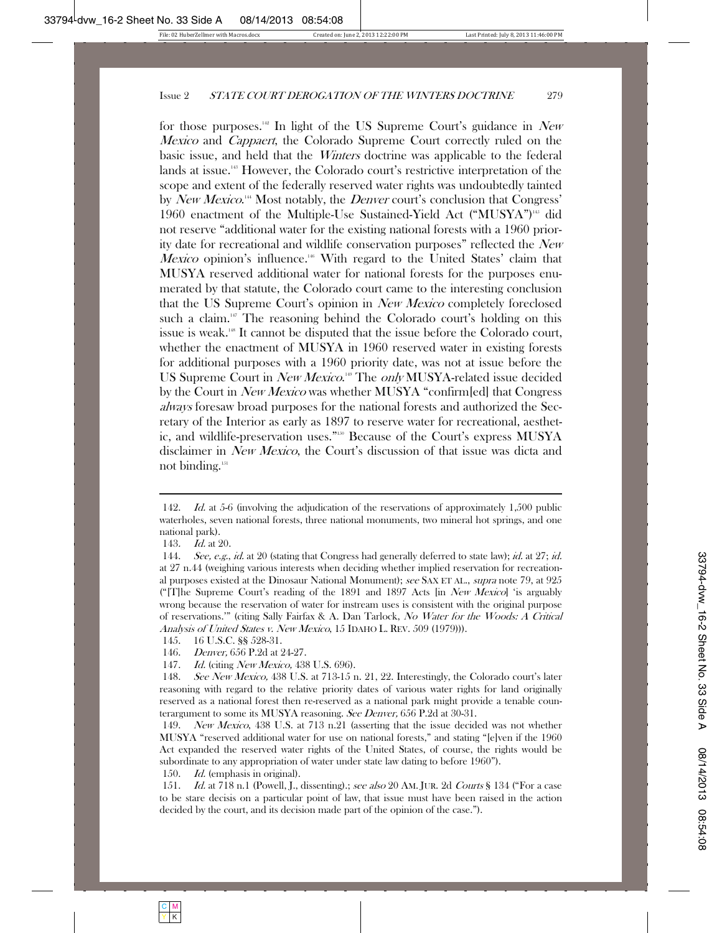for those purposes.<sup>142</sup> In light of the US Supreme Court's guidance in New Mexico and Cappaert, the Colorado Supreme Court correctly ruled on the basic issue, and held that the Winters doctrine was applicable to the federal lands at issue.<sup>143</sup> However, the Colorado court's restrictive interpretation of the scope and extent of the federally reserved water rights was undoubtedly tainted by New Mexico.<sup>14</sup> Most notably, the *Denver* court's conclusion that Congress' 1960 enactment of the Multiple-Use Sustained-Yield Act ("MUSYA")<sup>145</sup> did not reserve "additional water for the existing national forests with a 1960 priority date for recreational and wildlife conservation purposes" reflected the New Mexico opinion's influence.<sup>146</sup> With regard to the United States' claim that MUSYA reserved additional water for national forests for the purposes enumerated by that statute, the Colorado court came to the interesting conclusion that the US Supreme Court's opinion in New Mexico completely foreclosed such a claim.<sup>147</sup> The reasoning behind the Colorado court's holding on this issue is weak.148 It cannot be disputed that the issue before the Colorado court, whether the enactment of MUSYA in 1960 reserved water in existing forests for additional purposes with a 1960 priority date, was not at issue before the US Supreme Court in New Mexico.<sup>14</sup> The only MUSYA-related issue decided by the Court in New Mexico was whether MUSYA "confirm[ed] that Congress always foresaw broad purposes for the national forests and authorized the Secretary of the Interior as early as 1897 to reserve water for recreational, aesthetic, and wildlife-preservation uses."150 Because of the Court's express MUSYA disclaimer in New Mexico, the Court's discussion of that issue was dicta and not binding.<sup>151</sup>

150. *Id.* (emphasis in original).

151. *Id.* at 718 n.1 (Powell, J., dissenting).; see also 20 AM. JUR. 2d *Courts* § 134 ("For a case to be stare decisis on a particular point of law, that issue must have been raised in the action decided by the court, and its decision made part of the opinion of the case.").

<sup>142.</sup> Id. at 5-6 (involving the adjudication of the reservations of approximately 1,500 public waterholes, seven national forests, three national monuments, two mineral hot springs, and one national park).

<sup>143.</sup> *Id.* at 20.

<sup>144.</sup> See, e.g., id. at 20 (stating that Congress had generally deferred to state law); id. at 27; id. at 27 n.44 (weighing various interests when deciding whether implied reservation for recreational purposes existed at the Dinosaur National Monument); see SAX ET AL., supra note 79, at 925 ("[T]he Supreme Court's reading of the 1891 and 1897 Acts [in *New Mexico*] 'is arguably wrong because the reservation of water for instream uses is consistent with the original purpose of reservations.'" (citing Sally Fairfax & A. Dan Tarlock, No Water for the Woods: A Critical Analysis of United States v. New Mexico, 15 IDAHO L. REV. 509 (1979))).

 <sup>145. 16</sup> U.S.C. §§ 528-31.

 <sup>146.</sup> Denver, 656 P.2d at 24-27.

<sup>147.</sup> *Id.* (citing *New Mexico*, 438 U.S. 696).

<sup>148.</sup> See New Mexico, 438 U.S. at 713-15 n. 21, 22. Interestingly, the Colorado court's later reasoning with regard to the relative priority dates of various water rights for land originally reserved as a national forest then re-reserved as a national park might provide a tenable counterargument to some its MUSYA reasoning. See Denver, 656 P.2d at 30-31.

 <sup>149.</sup> New Mexico, 438 U.S. at 713 n.21 (asserting that the issue decided was not whether MUSYA "reserved additional water for use on national forests," and stating "[e]ven if the 1960 Act expanded the reserved water rights of the United States, of course, the rights would be subordinate to any appropriation of water under state law dating to before 1960").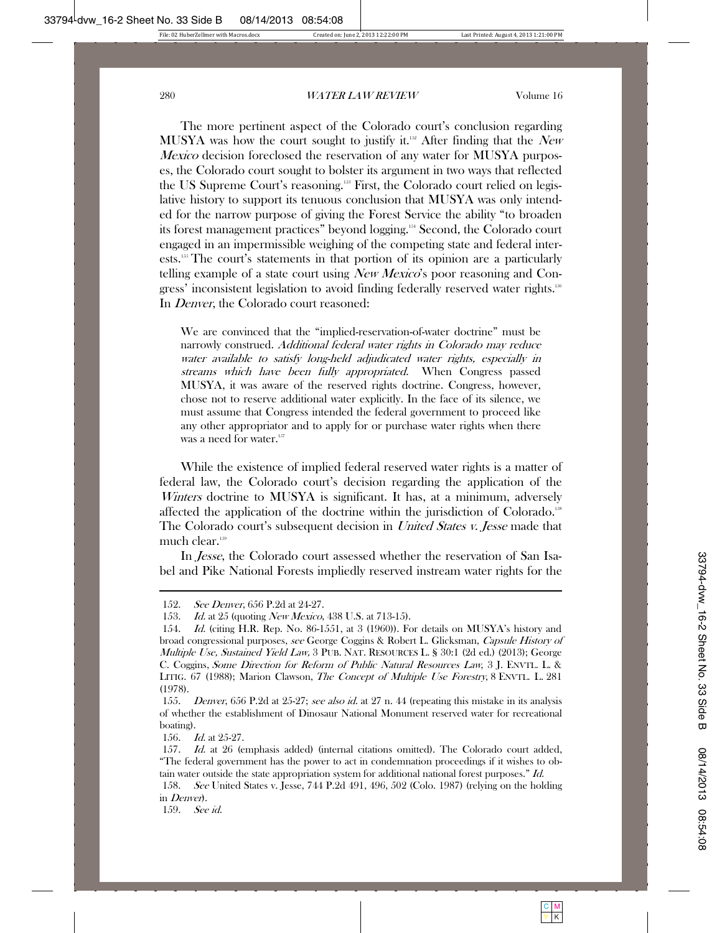The more pertinent aspect of the Colorado court's conclusion regarding MUSYA was how the court sought to justify it.<sup>152</sup> After finding that the New Mexico decision foreclosed the reservation of any water for MUSYA purposes, the Colorado court sought to bolster its argument in two ways that reflected the US Supreme Court's reasoning.<sup>158</sup> First, the Colorado court relied on legislative history to support its tenuous conclusion that MUSYA was only intended for the narrow purpose of giving the Forest Service the ability "to broaden its forest management practices" beyond logging.154 Second, the Colorado court engaged in an impermissible weighing of the competing state and federal interests.155 The court's statements in that portion of its opinion are a particularly telling example of a state court using *New Mexico*'s poor reasoning and Congress' inconsistent legislation to avoid finding federally reserved water rights.156 In Denver, the Colorado court reasoned:

We are convinced that the "implied-reservation-of-water doctrine" must be narrowly construed. Additional federal water rights in Colorado may reduce water available to satisfy long-held adjudicated water rights, especially in streams which have been fully appropriated. When Congress passed MUSYA, it was aware of the reserved rights doctrine. Congress, however, chose not to reserve additional water explicitly. In the face of its silence, we must assume that Congress intended the federal government to proceed like any other appropriator and to apply for or purchase water rights when there was a need for water.<sup>157</sup>

While the existence of implied federal reserved water rights is a matter of federal law, the Colorado court's decision regarding the application of the Winters doctrine to MUSYA is significant. It has, at a minimum, adversely affected the application of the doctrine within the jurisdiction of Colorado.<sup>158</sup> The Colorado court's subsequent decision in *United States v. Jesse* made that much clear.<sup>159</sup>

In *Jesse*, the Colorado court assessed whether the reservation of San Isabel and Pike National Forests impliedly reserved instream water rights for the

156. *Id.* at 25-27.

159. See id.

 <sup>152.</sup> See Denver, 656 P.2d at 24-27.

<sup>153.</sup> *Id.* at 25 (quoting *New Mexico*, 438 U.S. at 713-15).

<sup>154.</sup> Id. (citing H.R. Rep. No. 86-1551, at 3 (1960)). For details on MUSYA's history and broad congressional purposes, see George Coggins & Robert L. Glicksman, Capsule History of Multiple Use, Sustained Yield Law, 3 PUB. NAT. RESOURCES L. § 30:1 (2d ed.) (2013); George C. Coggins, Some Direction for Reform of Public Natural Resources Law, 3 J. ENVTL. L. & LITIG. 67 (1988); Marion Clawson, *The Concept of Multiple Use Forestry*, 8 ENVTL. L. 281 (1978).

<sup>155.</sup> Denver, 656 P.2d at 25-27; see also id. at 27 n. 44 (repeating this mistake in its analysis of whether the establishment of Dinosaur National Monument reserved water for recreational boating).

<sup>157.</sup> *Id.* at 26 (emphasis added) (internal citations omitted). The Colorado court added, "The federal government has the power to act in condemnation proceedings if it wishes to obtain water outside the state appropriation system for additional national forest purposes." Id.

 <sup>158.</sup> See United States v. Jesse, 744 P.2d 491, 496, 502 (Colo. 1987) (relying on the holding in Denver).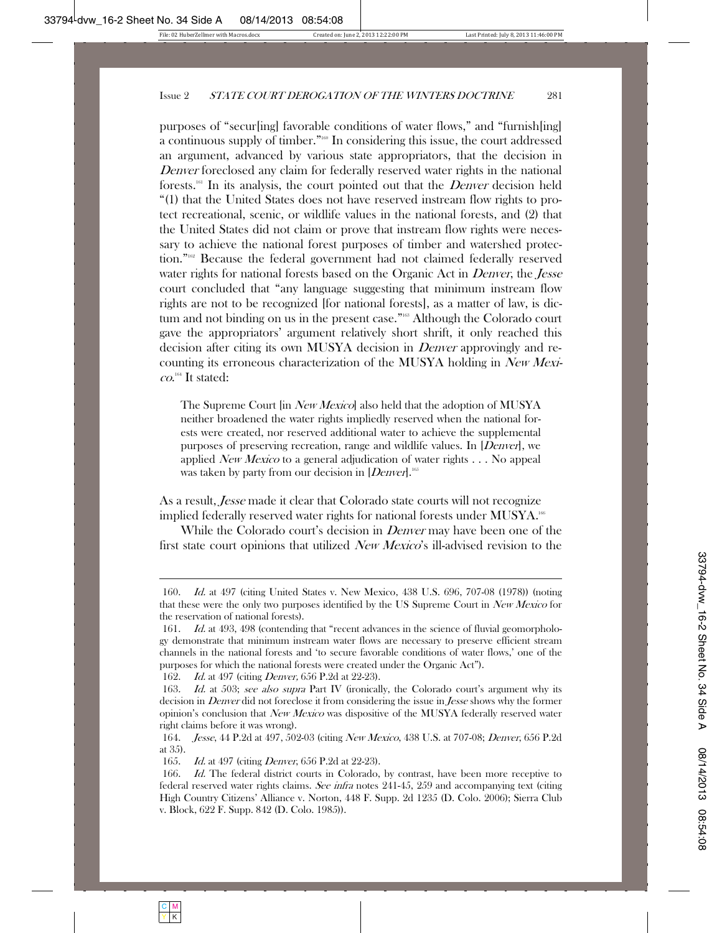purposes of "secur[ing] favorable conditions of water flows," and "furnish[ing] a continuous supply of timber."<sup>160</sup> In considering this issue, the court addressed an argument, advanced by various state appropriators, that the decision in Denver foreclosed any claim for federally reserved water rights in the national forests.<sup>161</sup> In its analysis, the court pointed out that the *Denver* decision held "(1) that the United States does not have reserved instream flow rights to protect recreational, scenic, or wildlife values in the national forests, and (2) that the United States did not claim or prove that instream flow rights were necessary to achieve the national forest purposes of timber and watershed protection."<sup>162</sup> Because the federal government had not claimed federally reserved water rights for national forests based on the Organic Act in *Denver*, the *Jesse* court concluded that "any language suggesting that minimum instream flow rights are not to be recognized [for national forests], as a matter of law, is dictum and not binding on us in the present case."<sup>163</sup> Although the Colorado court gave the appropriators' argument relatively short shrift, it only reached this decision after citing its own MUSYA decision in *Denver* approvingly and recounting its erroneous characterization of the MUSYA holding in New Mexi $co.^{164}$  It stated:

The Supreme Court [in *New Mexico*] also held that the adoption of MUSYA neither broadened the water rights impliedly reserved when the national forests were created, nor reserved additional water to achieve the supplemental purposes of preserving recreation, range and wildlife values. In [Denver], we applied *New Mexico* to a general adjudication of water rights  $\ldots$  No appeal was taken by party from our decision in  $[Denver].$ <sup>165</sup>

As a result, *Jesse* made it clear that Colorado state courts will not recognize implied federally reserved water rights for national forests under MUSYA.<sup>166</sup>

While the Colorado court's decision in *Denver* may have been one of the first state court opinions that utilized New Mexico's ill-advised revision to the

 <sup>160.</sup> Id. at 497 (citing United States v. New Mexico, 438 U.S. 696, 707-08 (1978)) (noting that these were the only two purposes identified by the US Supreme Court in New Mexico for the reservation of national forests).

<sup>161.</sup> *Id.* at 493, 498 (contending that "recent advances in the science of fluvial geomorphology demonstrate that minimum instream water flows are necessary to preserve efficient stream channels in the national forests and 'to secure favorable conditions of water flows,' one of the purposes for which the national forests were created under the Organic Act").

<sup>162.</sup> *Id.* at 497 (citing *Denver*, 656 P.2d at 22-23).

<sup>163.</sup> Id. at 503; see also supra Part IV (ironically, the Colorado court's argument why its decision in *Denver* did not foreclose it from considering the issue in *Jesse* shows why the former opinion's conclusion that New Mexico was dispositive of the MUSYA federally reserved water right claims before it was wrong).

 <sup>164.</sup> Jesse, 44 P.2d at 497, 502-03 (citing New Mexico, 438 U.S. at 707-08; Denver, 656 P.2d at 35).

<sup>165.</sup> *Id.* at 497 (citing *Denver*, 656 P.2d at 22-23).

<sup>166.</sup> Id. The federal district courts in Colorado, by contrast, have been more receptive to federal reserved water rights claims. See infra notes 241-45, 259 and accompanying text (citing High Country Citizens' Alliance v. Norton, 448 F. Supp. 2d 1235 (D. Colo. 2006); Sierra Club v. Block, 622 F. Supp. 842 (D. Colo. 1985)).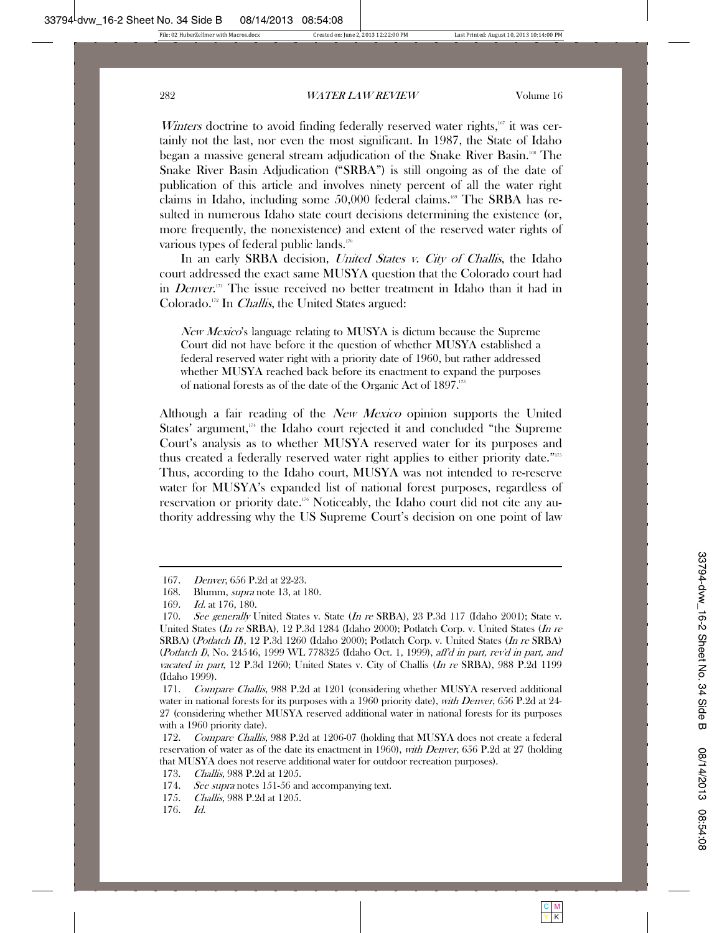Winters doctrine to avoid finding federally reserved water rights, $\frac{167}{16}$  it was certainly not the last, nor even the most significant. In 1987, the State of Idaho began a massive general stream adjudication of the Snake River Basin.<sup>168</sup> The Snake River Basin Adjudication ("SRBA") is still ongoing as of the date of publication of this article and involves ninety percent of all the water right claims in Idaho, including some 50,000 federal claims.<sup>169</sup> The SRBA has resulted in numerous Idaho state court decisions determining the existence (or, more frequently, the nonexistence) and extent of the reserved water rights of various types of federal public lands.<sup>170</sup>

In an early SRBA decision, *United States v. City of Challis*, the Idaho court addressed the exact same MUSYA question that the Colorado court had in *Denver*.<sup>171</sup> The issue received no better treatment in Idaho than it had in Colorado.172 In Challis, the United States argued:

New Mexico's language relating to MUSYA is dictum because the Supreme Court did not have before it the question of whether MUSYA established a federal reserved water right with a priority date of 1960, but rather addressed whether MUSYA reached back before its enactment to expand the purposes of national forests as of the date of the Organic Act of 1897.173

Although a fair reading of the *New Mexico* opinion supports the United States' argument,<sup>174</sup> the Idaho court rejected it and concluded "the Supreme" Court's analysis as to whether MUSYA reserved water for its purposes and thus created a federally reserved water right applies to either priority date."175 Thus, according to the Idaho court, MUSYA was not intended to re-reserve water for MUSYA's expanded list of national forest purposes, regardless of reservation or priority date.176 Noticeably, the Idaho court did not cite any authority addressing why the US Supreme Court's decision on one point of law

 <sup>167.</sup> Denver, 656 P.2d at 22-23.

 <sup>168.</sup> Blumm, supra note 13, at 180.

 <sup>169.</sup> Id. at 176, 180.

<sup>170.</sup> See generally United States v. State (In re SRBA), 23 P.3d 117 (Idaho 2001); State v. United States (In re SRBA), 12 P.3d 1284 (Idaho 2000); Potlatch Corp. v. United States (In re SRBA) (*Potlatch II*), 12 P.3d 1260 (Idaho 2000); Potlatch Corp. v. United States (*In re* SRBA) (Potlatch I), No. 24546, 1999 WL 778325 (Idaho Oct. 1, 1999), aff'd in part, rev'd in part, and vacated in part, 12 P.3d 1260; United States v. City of Challis (In re SRBA), 988 P.2d 1199 (Idaho 1999).

 <sup>171.</sup> Compare Challis, 988 P.2d at 1201 (considering whether MUSYA reserved additional water in national forests for its purposes with a 1960 priority date), *with Denver*, 656 P.2d at 24-27 (considering whether MUSYA reserved additional water in national forests for its purposes with a 1960 priority date).

<sup>172.</sup> Compare Challis, 988 P.2d at 1206-07 (holding that MUSYA does not create a federal reservation of water as of the date its enactment in 1960), with Denver, 656 P.2d at 27 (holding that MUSYA does not reserve additional water for outdoor recreation purposes).

 <sup>173.</sup> Challis, 988 P.2d at 1205.

<sup>174.</sup> See supra notes 151-56 and accompanying text.

 <sup>175.</sup> Challis, 988 P.2d at 1205.

 <sup>176.</sup> Id.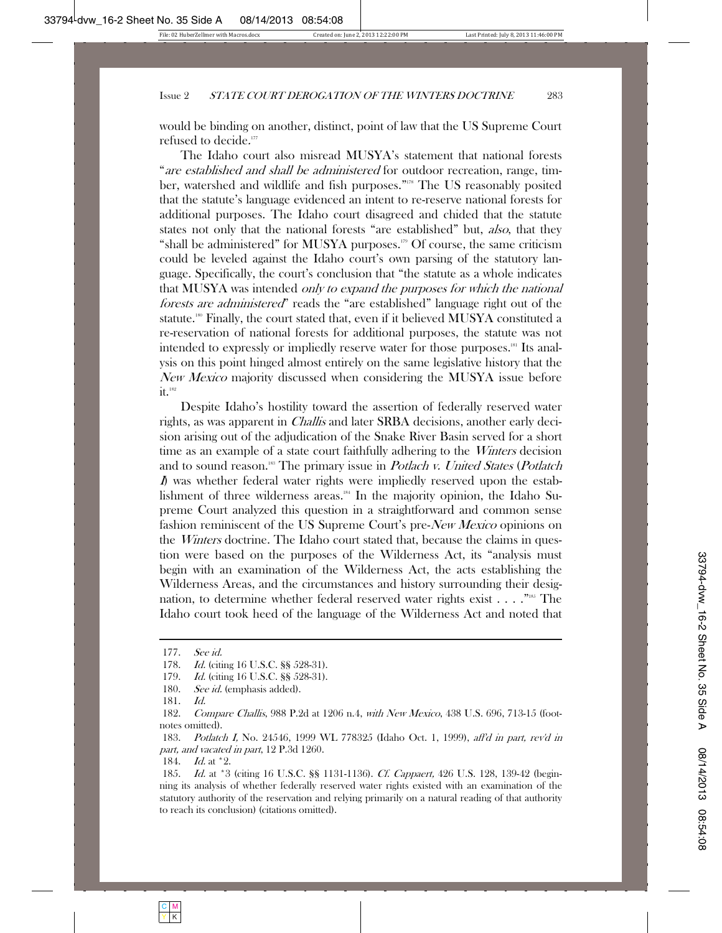would be binding on another, distinct, point of law that the US Supreme Court refused to decide. 177

The Idaho court also misread MUSYA's statement that national forests "are established and shall be administered for outdoor recreation, range, timber, watershed and wildlife and fish purposes."<sup>178</sup> The US reasonably posited that the statute's language evidenced an intent to re-reserve national forests for additional purposes. The Idaho court disagreed and chided that the statute states not only that the national forests "are established" but, *also*, that they "shall be administered" for MUSYA purposes.<sup>179</sup> Of course, the same criticism could be leveled against the Idaho court's own parsing of the statutory language. Specifically, the court's conclusion that "the statute as a whole indicates that MUSYA was intended only to expand the purposes for which the national forests are administered" reads the "are established" language right out of the statute.<sup>180</sup> Finally, the court stated that, even if it believed MUSYA constituted a re-reservation of national forests for additional purposes, the statute was not intended to expressly or impliedly reserve water for those purposes.<sup>181</sup> Its analysis on this point hinged almost entirely on the same legislative history that the New Mexico majority discussed when considering the MUSYA issue before  $it.$ <sup>182</sup>

Despite Idaho's hostility toward the assertion of federally reserved water rights, as was apparent in Challis and later SRBA decisions, another early decision arising out of the adjudication of the Snake River Basin served for a short time as an example of a state court faithfully adhering to the *Winters* decision and to sound reason.<sup>183</sup> The primary issue in *Potlach v. United States (Potlatch* I) was whether federal water rights were impliedly reserved upon the establishment of three wilderness areas.184 In the majority opinion, the Idaho Supreme Court analyzed this question in a straightforward and common sense fashion reminiscent of the US Supreme Court's pre-New Mexico opinions on the *Winters* doctrine. The Idaho court stated that, because the claims in question were based on the purposes of the Wilderness Act, its "analysis must begin with an examination of the Wilderness Act, the acts establishing the Wilderness Areas, and the circumstances and history surrounding their designation, to determine whether federal reserved water rights exist . . . ."185 The Idaho court took heed of the language of the Wilderness Act and noted that

 <sup>177.</sup> See id.

<sup>178.</sup> *Id.* (citing 16 U.S.C. §§ 528-31).

<sup>179.</sup> *Id.* (citing 16 U.S.C. §§ 528-31).

<sup>180.</sup> *See id.* (emphasis added).

 <sup>181.</sup> Id.

 <sup>182.</sup> Compare Challis, 988 P.2d at 1206 n.4, with New Mexico, 438 U.S. 696, 713-15 (footnotes omitted).

<sup>183.</sup> Potlatch I, No. 24546, 1999 WL 778325 (Idaho Oct. 1, 1999), aff'd in part, rev'd in part, and vacated in part, 12 P.3d 1260.

<sup>184.</sup> *Id.* at \*2.

<sup>185.</sup> Id. at \*3 (citing 16 U.S.C. §§ 1131-1136). Cf. Cappaert, 426 U.S. 128, 139-42 (beginning its analysis of whether federally reserved water rights existed with an examination of the statutory authority of the reservation and relying primarily on a natural reading of that authority to reach its conclusion) (citations omitted).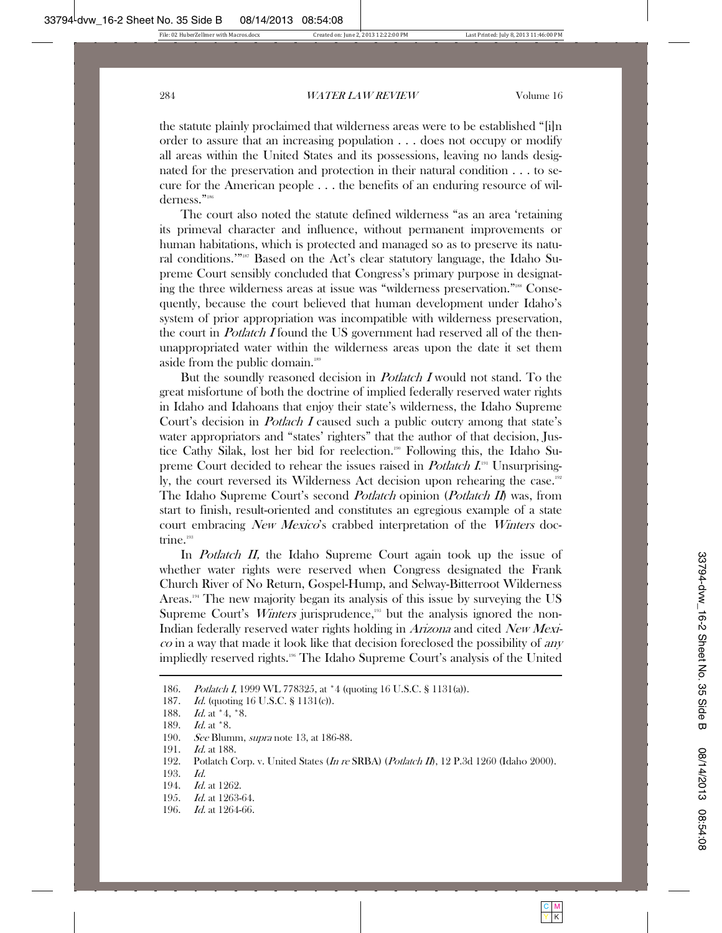the statute plainly proclaimed that wilderness areas were to be established "[i]n order to assure that an increasing population . . . does not occupy or modify all areas within the United States and its possessions, leaving no lands designated for the preservation and protection in their natural condition . . . to secure for the American people . . . the benefits of an enduring resource of wilderness."186

The court also noted the statute defined wilderness "as an area 'retaining its primeval character and influence, without permanent improvements or human habitations, which is protected and managed so as to preserve its natural conditions.'"187 Based on the Act's clear statutory language, the Idaho Supreme Court sensibly concluded that Congress's primary purpose in designating the three wilderness areas at issue was "wilderness preservation."<sup>188</sup> Consequently, because the court believed that human development under Idaho's system of prior appropriation was incompatible with wilderness preservation, the court in *Potlatch I* found the US government had reserved all of the thenunappropriated water within the wilderness areas upon the date it set them aside from the public domain.<sup>189</sup>

But the soundly reasoned decision in *Potlatch I* would not stand. To the great misfortune of both the doctrine of implied federally reserved water rights in Idaho and Idahoans that enjoy their state's wilderness, the Idaho Supreme Court's decision in *Potlach I* caused such a public outcry among that state's water appropriators and "states' righters" that the author of that decision, Justice Cathy Silak, lost her bid for reelection.<sup>190</sup> Following this, the Idaho Supreme Court decided to rehear the issues raised in *Potlatch I*.<sup>191</sup> Unsurprisingly, the court reversed its Wilderness Act decision upon rehearing the case.<sup>192</sup> The Idaho Supreme Court's second *Potlatch* opinion (*Potlatch II*) was, from start to finish, result-oriented and constitutes an egregious example of a state court embracing New Mexico's crabbed interpretation of the Winters doctrine.<sup>193</sup>

In *Potlatch II*, the Idaho Supreme Court again took up the issue of whether water rights were reserved when Congress designated the Frank Church River of No Return, Gospel-Hump, and Selway-Bitterroot Wilderness Areas.194 The new majority began its analysis of this issue by surveying the US Supreme Court's *Winters* jurisprudence,<sup>195</sup> but the analysis ignored the non-Indian federally reserved water rights holding in *Arizona* and cited New Mexi- $\cos$  in a way that made it look like that decision foreclosed the possibility of any impliedly reserved rights.196 The Idaho Supreme Court's analysis of the United

191. *Id.* at 188.

- 193. Id.
- 194. *Id.* at 1262.
- 195. Id. at 1263-64.
- 196. *Id.* at 1264-66.

 <sup>186.</sup> Potlatch I, 1999 WL 778325, at \*4 (quoting 16 U.S.C. § 1131(a)).

<sup>187.</sup> *Id.* (quoting 16 U.S.C. § 1131(c)).

<sup>188.</sup> *Id.* at \*4, \*8.

<sup>189.</sup> *Id.* at \*8.

<sup>190.</sup> See Blumm, *supra* note 13, at 186-88.

<sup>192.</sup> Potlatch Corp. v. United States (In re SRBA) (Potlatch II), 12 P.3d 1260 (Idaho 2000).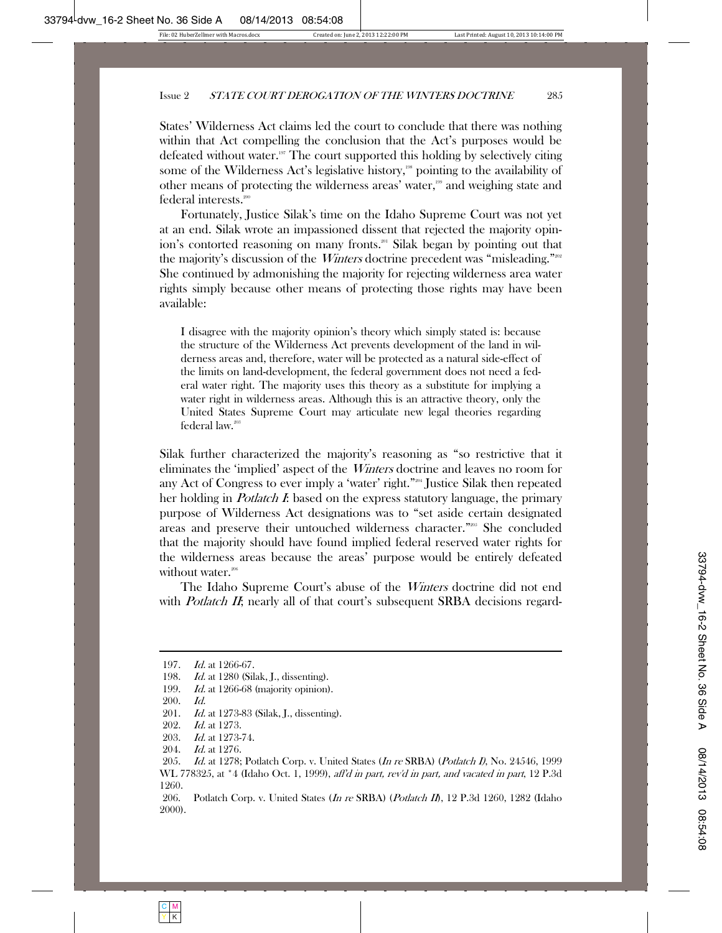States' Wilderness Act claims led the court to conclude that there was nothing within that Act compelling the conclusion that the Act's purposes would be defeated without water.<sup>197</sup> The court supported this holding by selectively citing some of the Wilderness Act's legislative history,<sup>198</sup> pointing to the availability of other means of protecting the wilderness areas' water,<sup>199</sup> and weighing state and federal interests.<sup>200</sup>

Fortunately, Justice Silak's time on the Idaho Supreme Court was not yet at an end. Silak wrote an impassioned dissent that rejected the majority opinion's contorted reasoning on many fronts.<sup>201</sup> Silak began by pointing out that the majority's discussion of the *Winters* doctrine precedent was "misleading."<sup>2002</sup> She continued by admonishing the majority for rejecting wilderness area water rights simply because other means of protecting those rights may have been available:

I disagree with the majority opinion's theory which simply stated is: because the structure of the Wilderness Act prevents development of the land in wilderness areas and, therefore, water will be protected as a natural side-effect of the limits on land-development, the federal government does not need a federal water right. The majority uses this theory as a substitute for implying a water right in wilderness areas. Although this is an attractive theory, only the United States Supreme Court may articulate new legal theories regarding federal law.<sup>203</sup>

Silak further characterized the majority's reasoning as "so restrictive that it eliminates the 'implied' aspect of the Winters doctrine and leaves no room for any Act of Congress to ever imply a 'water' right."204 Justice Silak then repeated her holding in *Potlatch I*: based on the express statutory language, the primary purpose of Wilderness Act designations was to "set aside certain designated areas and preserve their untouched wilderness character."205 She concluded that the majority should have found implied federal reserved water rights for the wilderness areas because the areas' purpose would be entirely defeated without water.<sup>206</sup>

The Idaho Supreme Court's abuse of the *Winters* doctrine did not end with *Potlatch II*; nearly all of that court's subsequent SRBA decisions regard-

 <sup>197.</sup> Id. at 1266-67.

<sup>198.</sup> *Id.* at 1280 (Silak, J., dissenting).

<sup>199.</sup> Id. at 1266-68 (majority opinion).

 <sup>200.</sup> Id.

<sup>201.</sup> *Id.* at 1273-83 (Silak, J., dissenting).

 <sup>202.</sup> Id. at 1273.

 <sup>203.</sup> Id. at 1273-74.

 <sup>204.</sup> Id. at 1276.

<sup>205.</sup> Id. at 1278; Potlatch Corp. v. United States (In re SRBA) (Potlatch I), No. 24546, 1999 WL 778325, at \*4 (Idaho Oct. 1, 1999), aff'd in part, rev'd in part, and vacated in part, 12 P.3d 1260.

<sup>206.</sup> Potlatch Corp. v. United States (In re SRBA) (Potlatch II), 12 P.3d 1260, 1282 (Idaho 2000).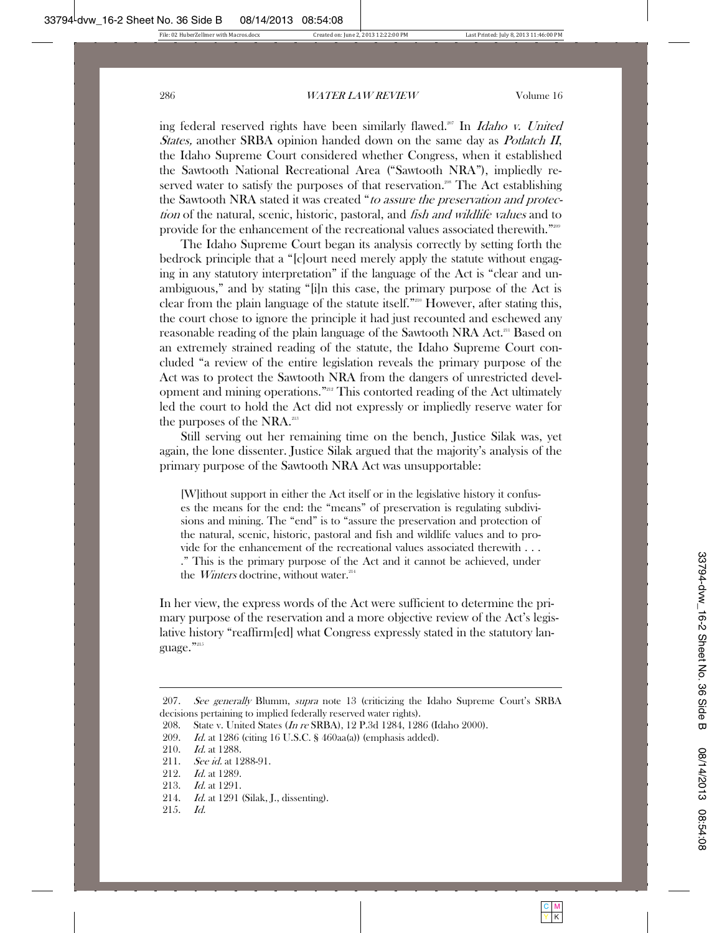ing federal reserved rights have been similarly flawed.<sup>207</sup> In *Idaho v. United* States, another SRBA opinion handed down on the same day as *Potlatch II*, the Idaho Supreme Court considered whether Congress, when it established the Sawtooth National Recreational Area ("Sawtooth NRA"), impliedly reserved water to satisfy the purposes of that reservation.<sup>208</sup> The Act establishing the Sawtooth NRA stated it was created "to assure the preservation and protection of the natural, scenic, historic, pastoral, and *fish and wildlife values* and to provide for the enhancement of the recreational values associated therewith."209

The Idaho Supreme Court began its analysis correctly by setting forth the bedrock principle that a "[c]ourt need merely apply the statute without engaging in any statutory interpretation" if the language of the Act is "clear and unambiguous," and by stating "[i]n this case, the primary purpose of the Act is clear from the plain language of the statute itself."210 However, after stating this, the court chose to ignore the principle it had just recounted and eschewed any reasonable reading of the plain language of the Sawtooth NRA Act.<sup>211</sup> Based on an extremely strained reading of the statute, the Idaho Supreme Court concluded "a review of the entire legislation reveals the primary purpose of the Act was to protect the Sawtooth NRA from the dangers of unrestricted development and mining operations."212 This contorted reading of the Act ultimately led the court to hold the Act did not expressly or impliedly reserve water for the purposes of the NRA.<sup>213</sup>

Still serving out her remaining time on the bench, Justice Silak was, yet again, the lone dissenter. Justice Silak argued that the majority's analysis of the primary purpose of the Sawtooth NRA Act was unsupportable:

[W]ithout support in either the Act itself or in the legislative history it confuses the means for the end: the "means" of preservation is regulating subdivisions and mining. The "end" is to "assure the preservation and protection of the natural, scenic, historic, pastoral and fish and wildlife values and to provide for the enhancement of the recreational values associated therewith . . . ." This is the primary purpose of the Act and it cannot be achieved, under the *Winters* doctrine, without water.<sup>214</sup>

In her view, the express words of the Act were sufficient to determine the primary purpose of the reservation and a more objective review of the Act's legislative history "reaffirm[ed] what Congress expressly stated in the statutory language."215

<sup>207.</sup> See generally Blumm, supra note 13 (criticizing the Idaho Supreme Court's SRBA decisions pertaining to implied federally reserved water rights).

 <sup>208.</sup> State v. United States (In re SRBA), 12 P.3d 1284, 1286 (Idaho 2000).

 <sup>209.</sup> Id. at 1286 (citing 16 U.S.C. § 460aa(a)) (emphasis added).

 <sup>210.</sup> Id. at 1288.

<sup>211.</sup> *See id.* at 1288-91.

<sup>212.</sup> *Id.* at 1289.

<sup>213.</sup> *Id.* at 1291.

<sup>214.</sup> *Id.* at 1291 (Silak, J., dissenting).

 <sup>215.</sup> Id.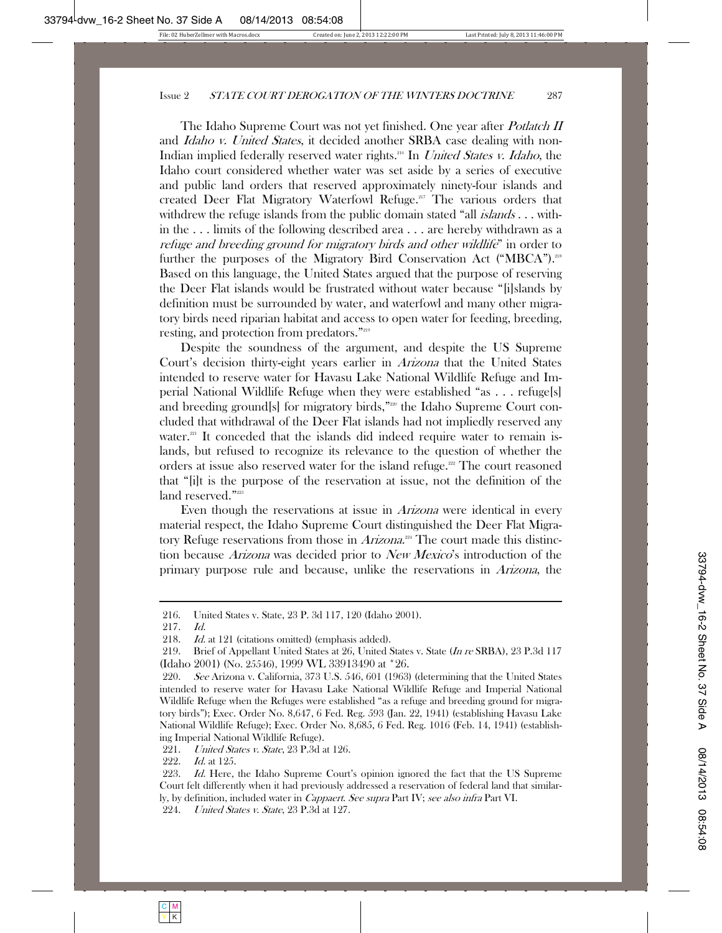The Idaho Supreme Court was not yet finished. One year after *Potlatch II* and *Idaho v. United States*, it decided another SRBA case dealing with non-Indian implied federally reserved water rights.<sup>216</sup> In *United States v. Idaho*, the Idaho court considered whether water was set aside by a series of executive and public land orders that reserved approximately ninety-four islands and created Deer Flat Migratory Waterfowl Refuge.<sup>217</sup> The various orders that withdrew the refuge islands from the public domain stated "all *islands* . . . within the . . . limits of the following described area . . . are hereby withdrawn as a refuge and breeding ground for migratory birds and other wildlife" in order to further the purposes of the Migratory Bird Conservation Act ("MBCA").<sup>218</sup> Based on this language, the United States argued that the purpose of reserving the Deer Flat islands would be frustrated without water because "[i]slands by definition must be surrounded by water, and waterfowl and many other migratory birds need riparian habitat and access to open water for feeding, breeding, resting, and protection from predators."219

Despite the soundness of the argument, and despite the US Supreme Court's decision thirty-eight years earlier in Arizona that the United States intended to reserve water for Havasu Lake National Wildlife Refuge and Imperial National Wildlife Refuge when they were established "as . . . refuge[s] and breeding ground[s] for migratory birds,"<sup>220</sup> the Idaho Supreme Court concluded that withdrawal of the Deer Flat islands had not impliedly reserved any water. $^{21}$  It conceded that the islands did indeed require water to remain islands, but refused to recognize its relevance to the question of whether the orders at issue also reserved water for the island refuge.<sup>222</sup> The court reasoned that "[i]t is the purpose of the reservation at issue, not the definition of the land reserved."<sup>223</sup>

Even though the reservations at issue in *Arizona* were identical in every material respect, the Idaho Supreme Court distinguished the Deer Flat Migratory Refuge reservations from those in Arizona.<sup>224</sup> The court made this distinction because Arizona was decided prior to New Mexico's introduction of the primary purpose rule and because, unlike the reservations in Arizona, the

 <sup>216.</sup> United States v. State, 23 P. 3d 117, 120 (Idaho 2001).

 <sup>217.</sup> Id.

<sup>218.</sup> Id. at 121 (citations omitted) (emphasis added).

<sup>219.</sup> Brief of Appellant United States at 26, United States v. State (In re SRBA), 23 P.3d 117 (Idaho 2001) (No. 25546), 1999 WL 33913490 at \*26.

<sup>220.</sup> See Arizona v. California, 373 U.S. 546, 601 (1963) (determining that the United States intended to reserve water for Havasu Lake National Wildlife Refuge and Imperial National Wildlife Refuge when the Refuges were established "as a refuge and breeding ground for migratory birds"); Exec. Order No. 8,647, 6 Fed. Reg. 593 (Jan. 22, 1941) (establishing Havasu Lake National Wildlife Refuge); Exec. Order No. 8,685, 6 Fed. Reg. 1016 (Feb. 14, 1941) (establishing Imperial National Wildlife Refuge).

<sup>221.</sup> United States v. State, 23 P.3d at 126.

 <sup>222.</sup> Id. at 125.

<sup>223.</sup> Id. Here, the Idaho Supreme Court's opinion ignored the fact that the US Supreme Court felt differently when it had previously addressed a reservation of federal land that similarly, by definition, included water in *Cappaert. See supra* Part IV; see also infra Part VI.

<sup>224.</sup> *United States v. State*, 23 P.3d at 127.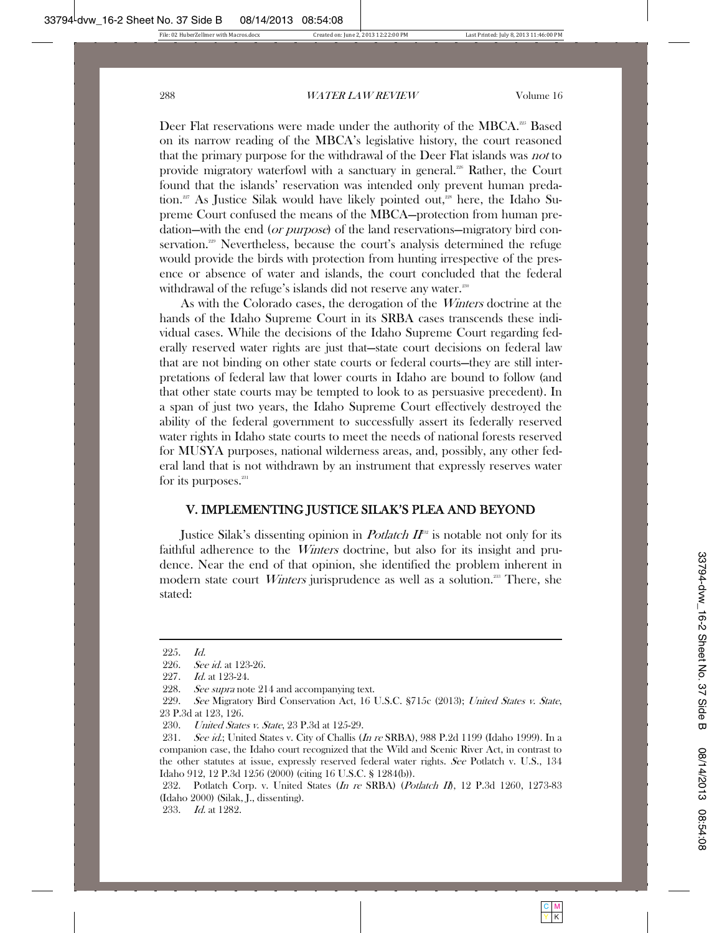Deer Flat reservations were made under the authority of the MBCA.<sup>225</sup> Based on its narrow reading of the MBCA's legislative history, the court reasoned that the primary purpose for the withdrawal of the Deer Flat islands was not to provide migratory waterfowl with a sanctuary in general.<sup>226</sup> Rather, the Court found that the islands' reservation was intended only prevent human predation.<sup>227</sup> As Justice Silak would have likely pointed out,<sup>228</sup> here, the Idaho Supreme Court confused the means of the MBCA—protection from human predation—with the end (*or purpose*) of the land reservations—migratory bird conservation.<sup>29</sup> Nevertheless, because the court's analysis determined the refuge would provide the birds with protection from hunting irrespective of the presence or absence of water and islands, the court concluded that the federal withdrawal of the refuge's islands did not reserve any water.<sup>230</sup>

As with the Colorado cases, the derogation of the *Winters* doctrine at the hands of the Idaho Supreme Court in its SRBA cases transcends these individual cases. While the decisions of the Idaho Supreme Court regarding federally reserved water rights are just that—state court decisions on federal law that are not binding on other state courts or federal courts—they are still interpretations of federal law that lower courts in Idaho are bound to follow (and that other state courts may be tempted to look to as persuasive precedent). In a span of just two years, the Idaho Supreme Court effectively destroyed the ability of the federal government to successfully assert its federally reserved water rights in Idaho state courts to meet the needs of national forests reserved for MUSYA purposes, national wilderness areas, and, possibly, any other federal land that is not withdrawn by an instrument that expressly reserves water for its purposes.<sup>231</sup>

# V. IMPLEMENTING JUSTICE SILAK'S PLEA AND BEYOND

Justice Silak's dissenting opinion in *Potlatch*  $I\!I$ <sup>22</sup> is notable not only for its faithful adherence to the *Winters* doctrine, but also for its insight and prudence. Near the end of that opinion, she identified the problem inherent in modern state court *Winters* jurisprudence as well as a solution.<sup>233</sup> There, she stated:

 <sup>225.</sup> Id.

<sup>226.</sup> *See id.* at 123-26.

 <sup>227.</sup> Id. at 123-24.

<sup>228.</sup> See supra note 214 and accompanying text.

<sup>229.</sup> See Migratory Bird Conservation Act, 16 U.S.C. §715c (2013); United States v. State, 23 P.3d at 123, 126.

<sup>230.</sup> *United States v. State*, 23 P.3d at 125-29.

<sup>231.</sup> See id.; United States v. City of Challis (In re SRBA), 988 P.2d 1199 (Idaho 1999). In a companion case, the Idaho court recognized that the Wild and Scenic River Act, in contrast to the other statutes at issue, expressly reserved federal water rights. See Potlatch v. U.S., 134 Idaho 912, 12 P.3d 1256 (2000) (citing 16 U.S.C. § 1284(b)).

<sup>232.</sup> Potlatch Corp. v. United States (In re SRBA) (Potlatch II), 12 P.3d 1260, 1273-83 (Idaho 2000) (Silak, J., dissenting).

 <sup>233.</sup> Id. at 1282.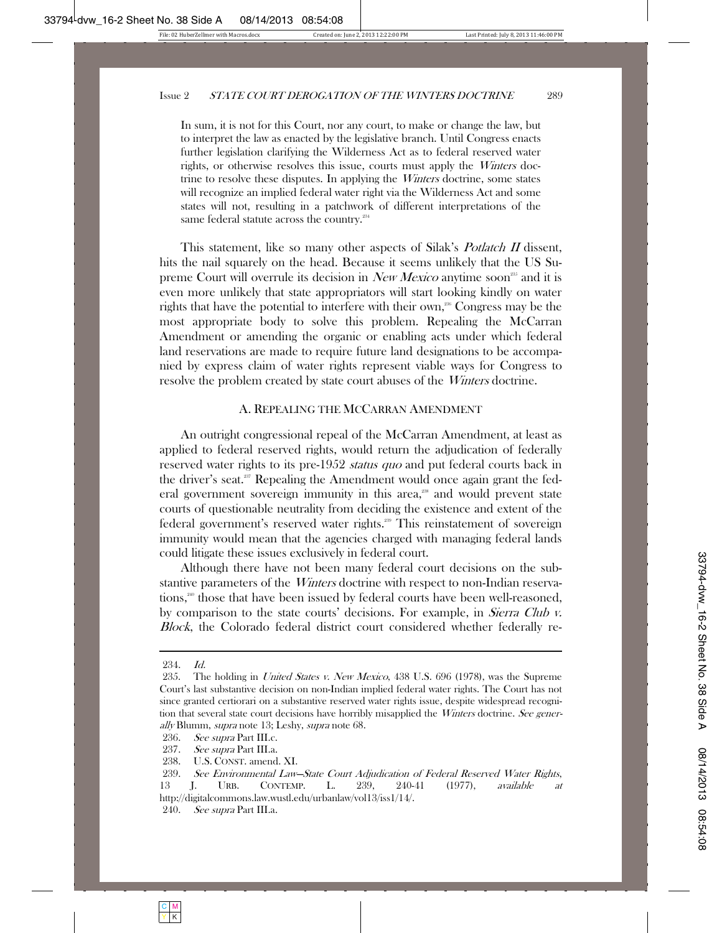In sum, it is not for this Court, nor any court, to make or change the law, but to interpret the law as enacted by the legislative branch. Until Congress enacts further legislation clarifying the Wilderness Act as to federal reserved water rights, or otherwise resolves this issue, courts must apply the *Winters* doctrine to resolve these disputes. In applying the *Winters* doctrine, some states will recognize an implied federal water right via the Wilderness Act and some states will not, resulting in a patchwork of different interpretations of the same federal statute across the country.<sup>234</sup>

This statement, like so many other aspects of Silak's *Potlatch II* dissent, hits the nail squarely on the head. Because it seems unlikely that the US Supreme Court will overrule its decision in New Mexico anytime soon<sup>25</sup> and it is even more unlikely that state appropriators will start looking kindly on water rights that have the potential to interfere with their own,<sup>256</sup> Congress may be the most appropriate body to solve this problem. Repealing the McCarran Amendment or amending the organic or enabling acts under which federal land reservations are made to require future land designations to be accompanied by express claim of water rights represent viable ways for Congress to resolve the problem created by state court abuses of the *Winters* doctrine.

#### A. REPEALING THE MCCARRAN AMENDMENT

An outright congressional repeal of the McCarran Amendment, at least as applied to federal reserved rights, would return the adjudication of federally reserved water rights to its pre-1952 *status quo* and put federal courts back in the driver's seat.<sup>237</sup> Repealing the Amendment would once again grant the federal government sovereign immunity in this area, $288$  and would prevent state courts of questionable neutrality from deciding the existence and extent of the federal government's reserved water rights.<sup>230</sup> This reinstatement of sovereign immunity would mean that the agencies charged with managing federal lands could litigate these issues exclusively in federal court.

Although there have not been many federal court decisions on the substantive parameters of the *Winters* doctrine with respect to non-Indian reservations,<sup>240</sup> those that have been issued by federal courts have been well-reasoned, by comparison to the state courts' decisions. For example, in *Sierra Club v.* Block, the Colorado federal district court considered whether federally re-

 <sup>234.</sup> Id.

<sup>235.</sup> The holding in United States v. New Mexico, 438 U.S. 696 (1978), was the Supreme Court's last substantive decision on non-Indian implied federal water rights. The Court has not since granted certiorari on a substantive reserved water rights issue, despite widespread recognition that several state court decisions have horribly misapplied the *Winters* doctrine. See generally Blumm, supra note 13; Leshy, supra note 68.

 <sup>236.</sup> See supra Part III.c.

<sup>237.</sup> *See supra* Part III.a.

 <sup>238.</sup> U.S. CONST. amend. XI.

 <sup>239.</sup> See Environmental Law—State Court Adjudication of Federal Reserved Water Rights, 13 J. URB. CONTEMP. L. 239, 240-41 (1977), available at http://digitalcommons.law.wustl.edu/urbanlaw/vol13/iss1/14/.

 <sup>240.</sup> See supra Part III.a.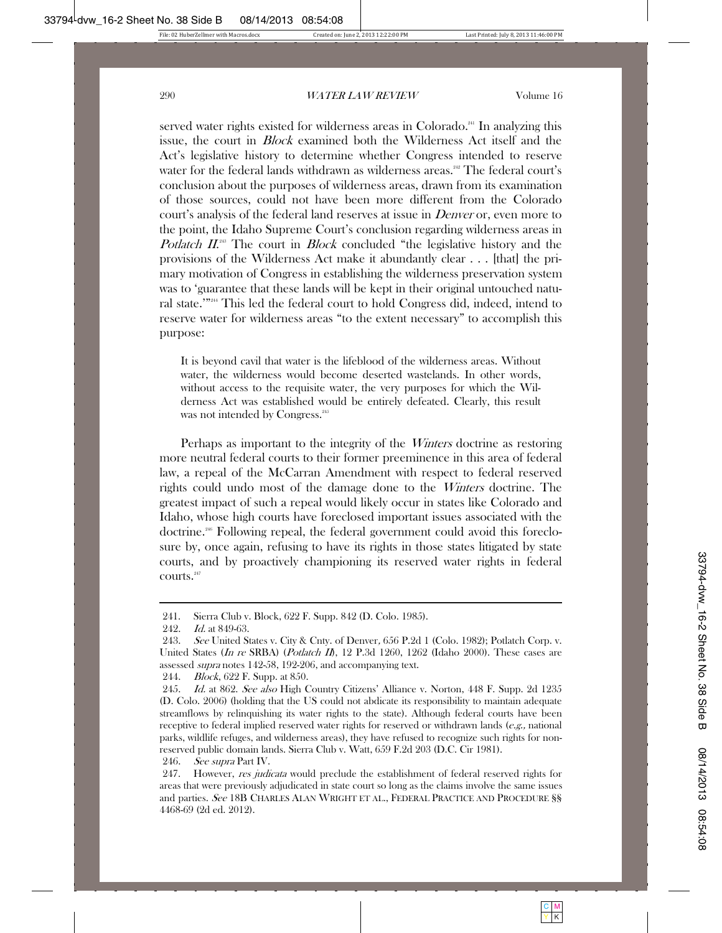served water rights existed for wilderness areas in Colorado.<sup>241</sup> In analyzing this issue, the court in Block examined both the Wilderness Act itself and the Act's legislative history to determine whether Congress intended to reserve water for the federal lands withdrawn as wilderness areas.<sup>242</sup> The federal court's conclusion about the purposes of wilderness areas, drawn from its examination of those sources, could not have been more different from the Colorado court's analysis of the federal land reserves at issue in *Denver* or, even more to the point, the Idaho Supreme Court's conclusion regarding wilderness areas in Potlatch II.<sup>243</sup> The court in Block concluded "the legislative history and the provisions of the Wilderness Act make it abundantly clear . . . [that] the primary motivation of Congress in establishing the wilderness preservation system was to 'guarantee that these lands will be kept in their original untouched natural state.'"244 This led the federal court to hold Congress did, indeed, intend to reserve water for wilderness areas "to the extent necessary" to accomplish this purpose:

It is beyond cavil that water is the lifeblood of the wilderness areas. Without water, the wilderness would become deserted wastelands. In other words, without access to the requisite water, the very purposes for which the Wilderness Act was established would be entirely defeated. Clearly, this result was not intended by Congress.<sup>245</sup>

Perhaps as important to the integrity of the *Winters* doctrine as restoring more neutral federal courts to their former preeminence in this area of federal law, a repeal of the McCarran Amendment with respect to federal reserved rights could undo most of the damage done to the Winters doctrine. The greatest impact of such a repeal would likely occur in states like Colorado and Idaho, whose high courts have foreclosed important issues associated with the doctrine.246 Following repeal, the federal government could avoid this foreclosure by, once again, refusing to have its rights in those states litigated by state courts, and by proactively championing its reserved water rights in federal courts.<sup>247</sup>

246. *See supra* Part IV.

 <sup>241.</sup> Sierra Club v. Block, 622 F. Supp. 842 (D. Colo. 1985).

<sup>242.</sup> *Id.* at 849-63.

<sup>243.</sup> See United States v. City & Cnty. of Denver, 656 P.2d 1 (Colo. 1982); Potlatch Corp. v. United States (In re SRBA) (Potlatch II), 12 P.3d 1260, 1262 (Idaho 2000). These cases are assessed supra notes 142-58, 192-206, and accompanying text.

 <sup>244.</sup> Block, 622 F. Supp. at 850.

<sup>245.</sup> Id. at 862. See also High Country Citizens' Alliance v. Norton, 448 F. Supp. 2d 1235 (D. Colo. 2006) (holding that the US could not abdicate its responsibility to maintain adequate streamflows by relinquishing its water rights to the state). Although federal courts have been receptive to federal implied reserved water rights for reserved or withdrawn lands (e.g., national parks, wildlife refuges, and wilderness areas), they have refused to recognize such rights for nonreserved public domain lands. Sierra Club v. Watt, 659 F.2d 203 (D.C. Cir 1981).

<sup>247.</sup> However, *res judicata* would preclude the establishment of federal reserved rights for areas that were previously adjudicated in state court so long as the claims involve the same issues and parties. See 18B CHARLES ALAN WRIGHT ET AL., FEDERAL PRACTICE AND PROCEDURE §§ 4468-69 (2d ed. 2012).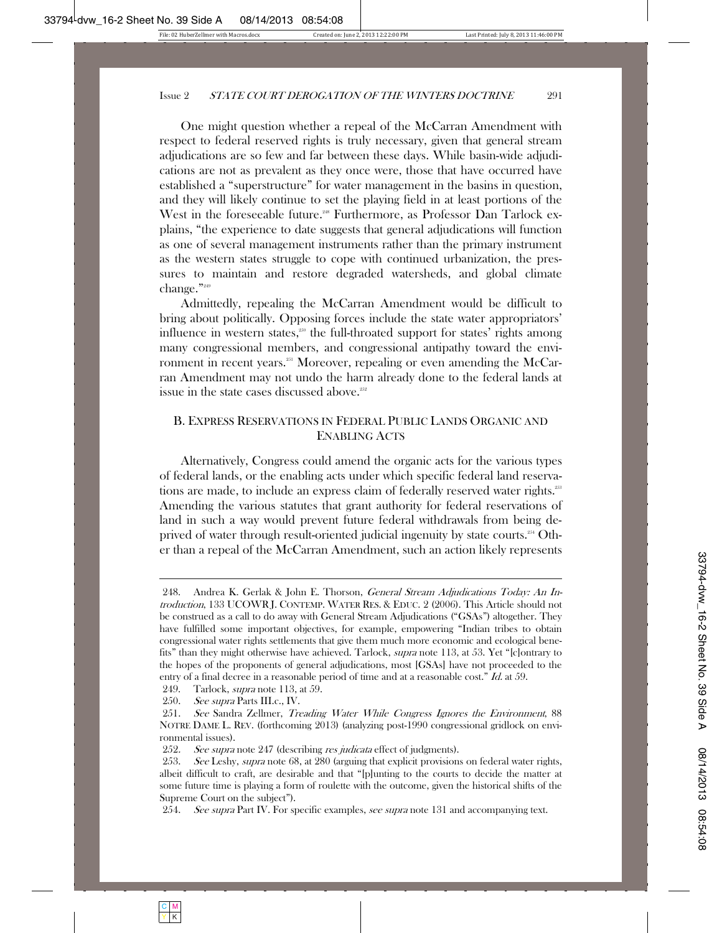One might question whether a repeal of the McCarran Amendment with respect to federal reserved rights is truly necessary, given that general stream adjudications are so few and far between these days. While basin-wide adjudications are not as prevalent as they once were, those that have occurred have established a "superstructure" for water management in the basins in question, and they will likely continue to set the playing field in at least portions of the West in the foreseeable future.<sup>248</sup> Furthermore, as Professor Dan Tarlock explains, "the experience to date suggests that general adjudications will function as one of several management instruments rather than the primary instrument as the western states struggle to cope with continued urbanization, the pressures to maintain and restore degraded watersheds, and global climate change."249

Admittedly, repealing the McCarran Amendment would be difficult to bring about politically. Opposing forces include the state water appropriators' influence in western states,<sup>250</sup> the full-throated support for states' rights among many congressional members, and congressional antipathy toward the environment in recent years.<sup>251</sup> Moreover, repealing or even amending the McCarran Amendment may not undo the harm already done to the federal lands at issue in the state cases discussed above.<sup>252</sup>

# B. EXPRESS RESERVATIONS IN FEDERAL PUBLIC LANDS ORGANIC AND ENABLING ACTS

Alternatively, Congress could amend the organic acts for the various types of federal lands, or the enabling acts under which specific federal land reservations are made, to include an express claim of federally reserved water rights.<sup>253</sup> Amending the various statutes that grant authority for federal reservations of land in such a way would prevent future federal withdrawals from being deprived of water through result-oriented judicial ingenuity by state courts.<sup>254</sup> Other than a repeal of the McCarran Amendment, such an action likely represents

254. See supra Part IV. For specific examples, see supra note 131 and accompanying text.

<sup>248.</sup> Andrea K. Gerlak & John E. Thorson, *General Stream Adjudications Today: An In*troduction, 133 UCOWR J. CONTEMP. WATER RES.&EDUC. 2 (2006). This Article should not be construed as a call to do away with General Stream Adjudications ("GSAs") altogether. They have fulfilled some important objectives, for example, empowering "Indian tribes to obtain congressional water rights settlements that give them much more economic and ecological benefits" than they might otherwise have achieved. Tarlock, supra note 113, at 53. Yet "[c]ontrary to the hopes of the proponents of general adjudications, most [GSAs] have not proceeded to the entry of a final decree in a reasonable period of time and at a reasonable cost." *Id.* at 59.

 <sup>249.</sup> Tarlock, supra note 113, at 59.

 <sup>250.</sup> See supra Parts III.c., IV.

 <sup>251.</sup> See Sandra Zellmer, Treading Water While Congress Ignores the Environment, 88 NOTRE DAME L. REV. (forthcoming 2013) (analyzing post-1990 congressional gridlock on environmental issues).

<sup>252.</sup> See supra note 247 (describing res judicata effect of judgments).

<sup>253.</sup> See Leshy, supra note 68, at 280 (arguing that explicit provisions on federal water rights, albeit difficult to craft, are desirable and that "[p]unting to the courts to decide the matter at some future time is playing a form of roulette with the outcome, given the historical shifts of the Supreme Court on the subject").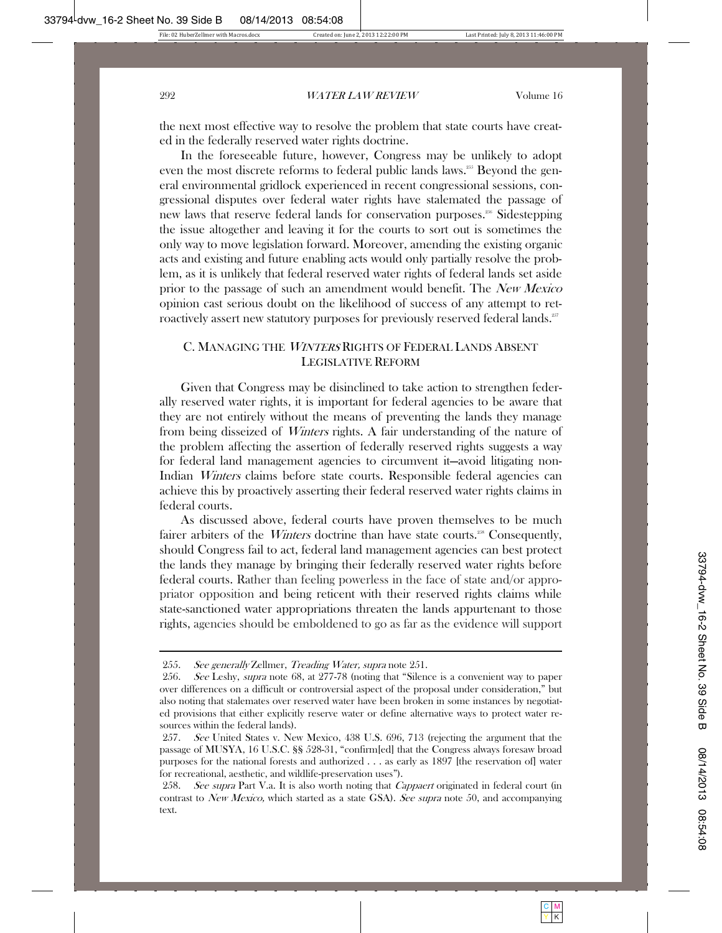the next most effective way to resolve the problem that state courts have created in the federally reserved water rights doctrine.

In the foreseeable future, however, Congress may be unlikely to adopt even the most discrete reforms to federal public lands laws.<sup>255</sup> Beyond the general environmental gridlock experienced in recent congressional sessions, congressional disputes over federal water rights have stalemated the passage of new laws that reserve federal lands for conservation purposes.<sup>256</sup> Sidestepping the issue altogether and leaving it for the courts to sort out is sometimes the only way to move legislation forward. Moreover, amending the existing organic acts and existing and future enabling acts would only partially resolve the problem, as it is unlikely that federal reserved water rights of federal lands set aside prior to the passage of such an amendment would benefit. The New Mexico opinion cast serious doubt on the likelihood of success of any attempt to retroactively assert new statutory purposes for previously reserved federal lands.<sup>257</sup>

#### C. MANAGING THE <sup>W</sup>INTERS RIGHTS OF FEDERAL LANDS ABSENT LEGISLATIVE REFORM

Given that Congress may be disinclined to take action to strengthen federally reserved water rights, it is important for federal agencies to be aware that they are not entirely without the means of preventing the lands they manage from being disseized of Winters rights. A fair understanding of the nature of the problem affecting the assertion of federally reserved rights suggests a way for federal land management agencies to circumvent it—avoid litigating non-Indian Winters claims before state courts. Responsible federal agencies can achieve this by proactively asserting their federal reserved water rights claims in federal courts.

As discussed above, federal courts have proven themselves to be much fairer arbiters of the *Winters* doctrine than have state courts.<sup>258</sup> Consequently, should Congress fail to act, federal land management agencies can best protect the lands they manage by bringing their federally reserved water rights before federal courts. Rather than feeling powerless in the face of state and/or appropriator opposition and being reticent with their reserved rights claims while state-sanctioned water appropriations threaten the lands appurtenant to those rights, agencies should be emboldened to go as far as the evidence will support

 <sup>255.</sup> See generally Zellmer, Treading Water, supra note 251.

<sup>256.</sup> See Leshy, *supra* note 68, at 277-78 (noting that "Silence is a convenient way to paper over differences on a difficult or controversial aspect of the proposal under consideration," but also noting that stalemates over reserved water have been broken in some instances by negotiated provisions that either explicitly reserve water or define alternative ways to protect water resources within the federal lands).

<sup>257.</sup> See United States v. New Mexico, 438 U.S. 696, 713 (rejecting the argument that the passage of MUSYA, 16 U.S.C. §§ 528-31, "confirm[ed] that the Congress always foresaw broad purposes for the national forests and authorized . . . as early as 1897 [the reservation of] water for recreational, aesthetic, and wildlife-preservation uses").

<sup>258.</sup> See supra Part V.a. It is also worth noting that *Cappaert* originated in federal court (in contrast to New Mexico, which started as a state GSA). See supra note 50, and accompanying text.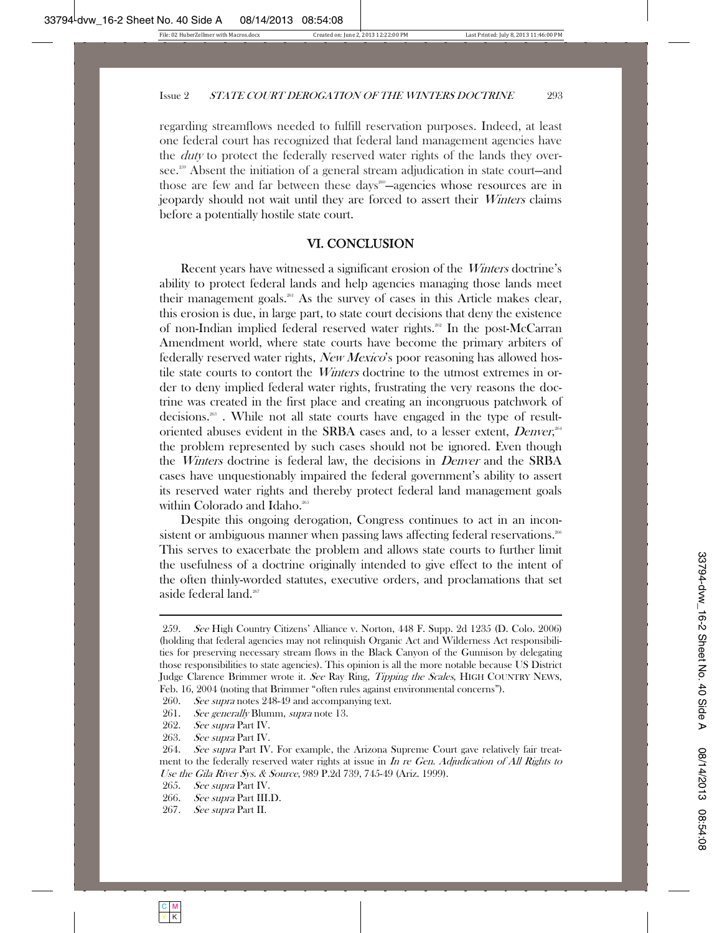regarding streamflows needed to fulfill reservation purposes. Indeed, at least one federal court has recognized that federal land management agencies have the *duty* to protect the federally reserved water rights of the lands they oversee.<sup>259</sup> Absent the initiation of a general stream adjudication in state court—and those are few and far between these days<sup>260</sup>—agencies whose resources are in jeopardy should not wait until they are forced to assert their Winters claims before a potentially hostile state court.

# VI. CONCLUSION

Recent years have witnessed a significant erosion of the *Winters* doctrine's ability to protect federal lands and help agencies managing those lands meet their management goals.<sup>261</sup> As the survey of cases in this Article makes clear, this erosion is due, in large part, to state court decisions that deny the existence of non-Indian implied federal reserved water rights.<sup>362</sup> In the post-McCarran Amendment world, where state courts have become the primary arbiters of federally reserved water rights, New Mexico's poor reasoning has allowed hostile state courts to contort the *Winters* doctrine to the utmost extremes in order to deny implied federal water rights, frustrating the very reasons the doctrine was created in the first place and creating an incongruous patchwork of decisions.263 . While not all state courts have engaged in the type of resultoriented abuses evident in the SRBA cases and, to a lesser extent, Denver,<sup>364</sup> the problem represented by such cases should not be ignored. Even though the *Winters* doctrine is federal law, the decisions in *Denver* and the SRBA cases have unquestionably impaired the federal government's ability to assert its reserved water rights and thereby protect federal land management goals within Colorado and Idaho.<sup>265</sup>

Despite this ongoing derogation, Congress continues to act in an inconsistent or ambiguous manner when passing laws affecting federal reservations.<sup>266</sup> This serves to exacerbate the problem and allows state courts to further limit the usefulness of a doctrine originally intended to give effect to the intent of the often thinly-worded statutes, executive orders, and proclamations that set aside federal land.<sup>267</sup>

260. See supra notes 248-49 and accompanying text.

261. See generally Blumm, supra note 13.

267. See supra Part II.

 <sup>259.</sup> See High Country Citizens' Alliance v. Norton, 448 F. Supp. 2d 1235 (D. Colo. 2006) (holding that federal agencies may not relinquish Organic Act and Wilderness Act responsibilities for preserving necessary stream flows in the Black Canyon of the Gunnison by delegating those responsibilities to state agencies). This opinion is all the more notable because US District Judge Clarence Brimmer wrote it. See Ray Ring, Tipping the Scales, HIGH COUNTRY NEWS, Feb. 16, 2004 (noting that Brimmer "often rules against environmental concerns").

 <sup>262.</sup> See supra Part IV.

<sup>263.</sup> See supra Part IV.

<sup>264.</sup> See supra Part IV. For example, the Arizona Supreme Court gave relatively fair treatment to the federally reserved water rights at issue in In re Gen. Adjudication of All Rights to Use the Gila River Sys. & Source, 989 P.2d 739, 745-49 (Ariz. 1999).

<sup>265.</sup> *See supra* Part IV.

 <sup>266.</sup> See supra Part III.D.